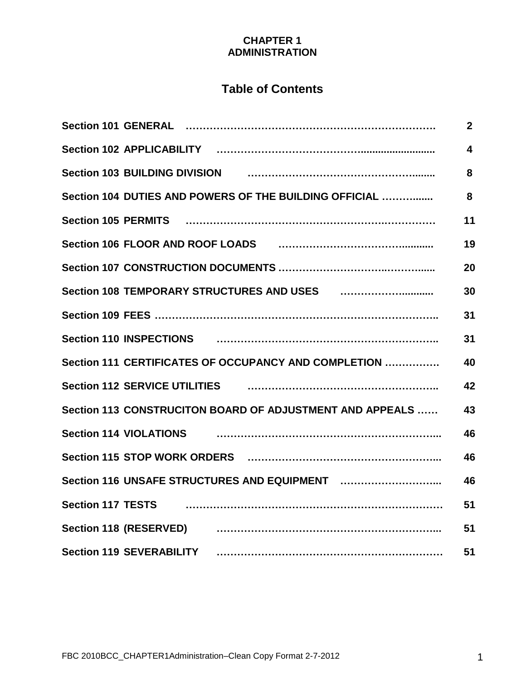## **CHAPTER 1 ADMINISTRATION**

# **Table of Contents**

|                                                                                                                                                                                                                                     | $\mathbf{2}$ |
|-------------------------------------------------------------------------------------------------------------------------------------------------------------------------------------------------------------------------------------|--------------|
|                                                                                                                                                                                                                                     | 4            |
|                                                                                                                                                                                                                                     | 8            |
| Section 104 DUTIES AND POWERS OF THE BUILDING OFFICIAL                                                                                                                                                                              | 8            |
|                                                                                                                                                                                                                                     | 11           |
| Section 106 FLOOR AND ROOF LOADS <b>contract the COOR</b>                                                                                                                                                                           | 19           |
|                                                                                                                                                                                                                                     | 20           |
| Section 108 TEMPORARY STRUCTURES AND USES Framewred and the Section 108 TEMPORARY STRUCTURES AND USES                                                                                                                               | 30           |
|                                                                                                                                                                                                                                     | 31           |
| Section 110 INSPECTIONS <b>contract to the CONTEGE Section 110</b> INSPECTIONS                                                                                                                                                      | 31           |
| Section 111 CERTIFICATES OF OCCUPANCY AND COMPLETION                                                                                                                                                                                | 40           |
| Section 112 SERVICE UTILITIES <b>CONSERVANCE IN A SECTION CONTROL</b>                                                                                                                                                               | 42           |
| Section 113 CONSTRUCITON BOARD OF ADJUSTMENT AND APPEALS                                                                                                                                                                            | 43           |
| Section 114 VIOLATIONS <b>contract to the CONTEGE Section 114 VIOLATIONS</b>                                                                                                                                                        | 46           |
|                                                                                                                                                                                                                                     | 46           |
|                                                                                                                                                                                                                                     | 46           |
| Section 117 TESTS <b>continuum</b> contract the contract of the contract of the contract of the contract of the contract of the contract of the contract of the contract of the contract of the contract of the contract of the con | 51           |
| Section 118 (RESERVED) <b>CONSERVED CONSERVED</b>                                                                                                                                                                                   | 51           |
| <b>Section 119 SEVERABILITY</b>                                                                                                                                                                                                     | 51           |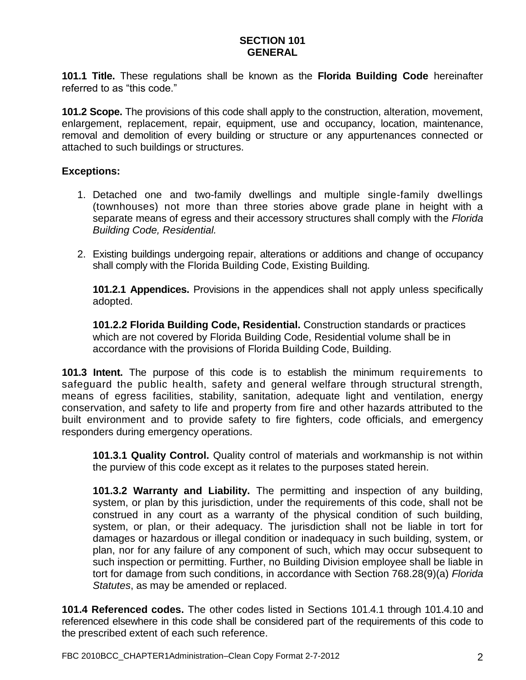#### **SECTION 101 GENERAL**

**101.1 Title.** These regulations shall be known as the **Florida Building Code** hereinafter referred to as "this code."

**101.2 Scope.** The provisions of this code shall apply to the construction, alteration, movement, enlargement, replacement, repair, equipment, use and occupancy, location, maintenance, removal and demolition of every building or structure or any appurtenances connected or attached to such buildings or structures.

#### **Exceptions:**

- 1. Detached one and two-family dwellings and multiple single-family dwellings (townhouses) not more than three stories above grade plane in height with a separate means of egress and their accessory structures shall comply with the *Florida Building Code, Residential.*
- 2. Existing buildings undergoing repair, alterations or additions and change of occupancy shall comply with the Florida Building Code, Existing Building*.*

**101.2.1 Appendices.** Provisions in the appendices shall not apply unless specifically adopted.

**101.2.2 Florida Building Code, Residential.** Construction standards or practices which are not covered by Florida Building Code, Residential volume shall be in accordance with the provisions of Florida Building Code, Building.

**101.3 Intent.** The purpose of this code is to establish the minimum requirements to safeguard the public health, safety and general welfare through structural strength, means of egress facilities, stability, sanitation, adequate light and ventilation, energy conservation, and safety to life and property from fire and other hazards attributed to the built environment and to provide safety to fire fighters, code officials, and emergency responders during emergency operations.

**101.3.1 Quality Control.** Quality control of materials and workmanship is not within the purview of this code except as it relates to the purposes stated herein.

**101.3.2 Warranty and Liability.** The permitting and inspection of any building, system, or plan by this jurisdiction, under the requirements of this code, shall not be construed in any court as a warranty of the physical condition of such building, system, or plan, or their adequacy. The jurisdiction shall not be liable in tort for damages or hazardous or illegal condition or inadequacy in such building, system, or plan, nor for any failure of any component of such, which may occur subsequent to such inspection or permitting. Further, no Building Division employee shall be liable in tort for damage from such conditions, in accordance with Section 768.28(9)(a) *Florida Statutes*, as may be amended or replaced.

**101.4 Referenced codes.** The other codes listed in Sections 101.4.1 through 101.4.10 and referenced elsewhere in this code shall be considered part of the requirements of this code to the prescribed extent of each such reference.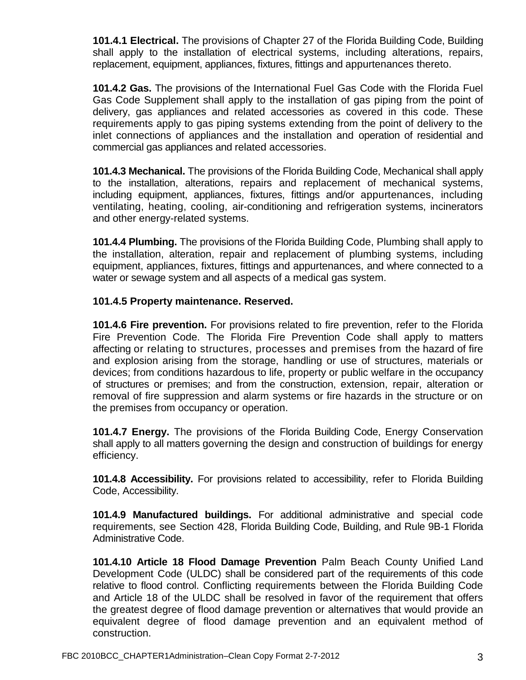**101.4.1 Electrical.** The provisions of Chapter 27 of the Florida Building Code, Building shall apply to the installation of electrical systems, including alterations, repairs, replacement, equipment, appliances, fixtures, fittings and appurtenances thereto.

**101.4.2 Gas.** The provisions of the International Fuel Gas Code with the Florida Fuel Gas Code Supplement shall apply to the installation of gas piping from the point of delivery, gas appliances and related accessories as covered in this code. These requirements apply to gas piping systems extending from the point of delivery to the inlet connections of appliances and the installation and operation of residential and commercial gas appliances and related accessories.

**101.4.3 Mechanical.** The provisions of the Florida Building Code, Mechanical shall apply to the installation, alterations, repairs and replacement of mechanical systems, including equipment, appliances, fixtures, fittings and/or appurtenances, including ventilating, heating, cooling, air-conditioning and refrigeration systems, incinerators and other energy-related systems.

**101.4.4 Plumbing.** The provisions of the Florida Building Code, Plumbing shall apply to the installation, alteration, repair and replacement of plumbing systems, including equipment, appliances, fixtures, fittings and appurtenances, and where connected to a water or sewage system and all aspects of a medical gas system.

## **101.4.5 Property maintenance. Reserved.**

**101.4.6 Fire prevention.** For provisions related to fire prevention, refer to the Florida Fire Prevention Code. The Florida Fire Prevention Code shall apply to matters affecting or relating to structures, processes and premises from the hazard of fire and explosion arising from the storage, handling or use of structures, materials or devices; from conditions hazardous to life, property or public welfare in the occupancy of structures or premises; and from the construction, extension, repair, alteration or removal of fire suppression and alarm systems or fire hazards in the structure or on the premises from occupancy or operation.

**101.4.7 Energy.** The provisions of the Florida Building Code, Energy Conservation shall apply to all matters governing the design and construction of buildings for energy efficiency.

**101.4.8 Accessibility.** For provisions related to accessibility, refer to Florida Building Code, Accessibility.

**101.4.9 Manufactured buildings.** For additional administrative and special code requirements, see Section 428, Florida Building Code, Building, and Rule 9B-1 Florida Administrative Code.

**101.4.10 Article 18 Flood Damage Prevention** Palm Beach County Unified Land Development Code (ULDC) shall be considered part of the requirements of this code relative to flood control. Conflicting requirements between the Florida Building Code and Article 18 of the ULDC shall be resolved in favor of the requirement that offers the greatest degree of flood damage prevention or alternatives that would provide an equivalent degree of flood damage prevention and an equivalent method of construction.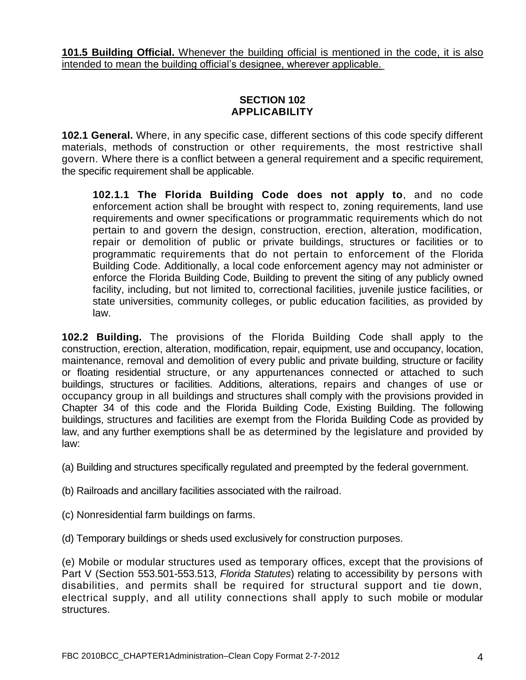**101.5 Building Official.** Whenever the building official is mentioned in the code, it is also intended to mean the building official's designee, wherever applicable.

## **SECTION 102 APPLICABILITY**

**102.1 General.** Where, in any specific case, different sections of this code specify different materials, methods of construction or other requirements, the most restrictive shall govern. Where there is a conflict between a general requirement and a specific requirement, the specific requirement shall be applicable.

**102.1.1 The Florida Building Code does not apply to**, and no code enforcement action shall be brought with respect to, zoning requirements, land use requirements and owner specifications or programmatic requirements which do not pertain to and govern the design, construction, erection, alteration, modification, repair or demolition of public or private buildings, structures or facilities or to programmatic requirements that do not pertain to enforcement of the Florida Building Code. Additionally, a local code enforcement agency may not administer or enforce the Florida Building Code, Building to prevent the siting of any publicly owned facility, including, but not limited to, correctional facilities, juvenile justice facilities, or state universities, community colleges, or public education facilities, as provided by law.

**102.2 Building.** The provisions of the Florida Building Code shall apply to the construction, erection, alteration, modification, repair, equipment, use and occupancy, location, maintenance, removal and demolition of every public and private building, structure or facility or floating residential structure, or any appurtenances connected or attached to such buildings, structures or facilities. Additions, alterations, repairs and changes of use or occupancy group in all buildings and structures shall comply with the provisions provided in Chapter 34 of this code and the Florida Building Code, Existing Building. The following buildings, structures and facilities are exempt from the Florida Building Code as provided by law, and any further exemptions shall be as determined by the legislature and provided by law:

- (a) Building and structures specifically regulated and preempted by the federal government.
- (b) Railroads and ancillary facilities associated with the railroad.
- (c) Nonresidential farm buildings on farms.
- (d) Temporary buildings or sheds used exclusively for construction purposes.

(e) Mobile or modular structures used as temporary offices, except that the provisions of Part V (Section 553.501-553.513, *Florida Statutes*) relating to accessibility by persons with disabilities, and permits shall be required for structural support and tie down, electrical supply, and all utility connections shall apply to such mobile or modular structures.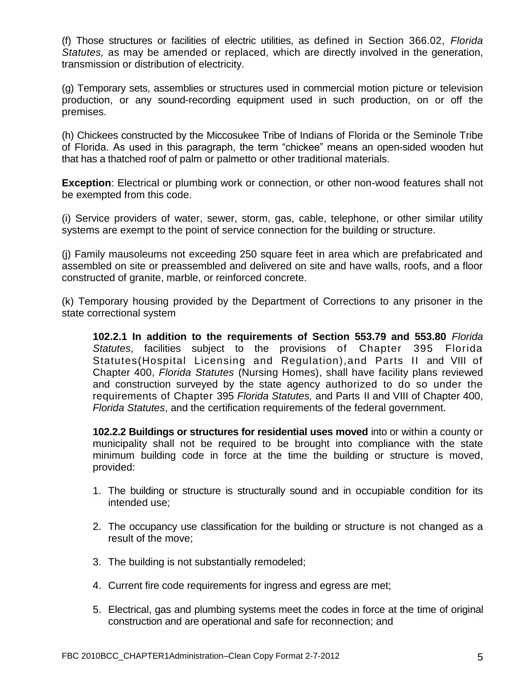(f) Those structures or facilities of electric utilities, as defined in Section 366.02, *Florida Statutes,* as may be amended or replaced, which are directly involved in the generation, transmission or distribution of electricity.

(g) Temporary sets, assemblies or structures used in commercial motion picture or television production, or any sound-recording equipment used in such production, on or off the premises.

(h) Chickees constructed by the Miccosukee Tribe of Indians of Florida or the Seminole Tribe of Florida. As used in this paragraph, the term "chickee" means an open-sided wooden hut that has a thatched roof of palm or palmetto or other traditional materials.

**Exception**: Electrical or plumbing work or connection, or other non-wood features shall not be exempted from this code.

(i) Service providers of water, sewer, storm, gas, cable, telephone, or other similar utility systems are exempt to the point of service connection for the building or structure.

(j) Family mausoleums not exceeding 250 square feet in area which are prefabricated and assembled on site or preassembled and delivered on site and have walls, roofs, and a floor constructed of granite, marble, or reinforced concrete.

(k) Temporary housing provided by the Department of Corrections to any prisoner in the state correctional system

**102.2.1 In addition to the requirements of Section 553.79 and 553.80** *Florida Statutes*, facilities subject to the provisions of Chapter 395 Florida Statutes(Hospital Licensing and Regulation),and Parts II and VIII of Chapter 400, *Florida Statutes* (Nursing Homes), shall have facility plans reviewed and construction surveyed by the state agency authorized to do so under the requirements of Chapter 395 *Florida Statutes,* and Parts II and VIII of Chapter 400, *Florida Statutes*, and the certification requirements of the federal government.

**102.2.2 Buildings or structures for residential uses moved** into or within a county or municipality shall not be required to be brought into compliance with the state minimum building code in force at the time the building or structure is moved, provided:

- 1. The building or structure is structurally sound and in occupiable condition for its intended use;
- 2. The occupancy use classification for the building or structure is not changed as a result of the move;
- 3. The building is not substantially remodeled;
- 4. Current fire code requirements for ingress and egress are met;
- 5. Electrical, gas and plumbing systems meet the codes in force at the time of original construction and are operational and safe for reconnection; and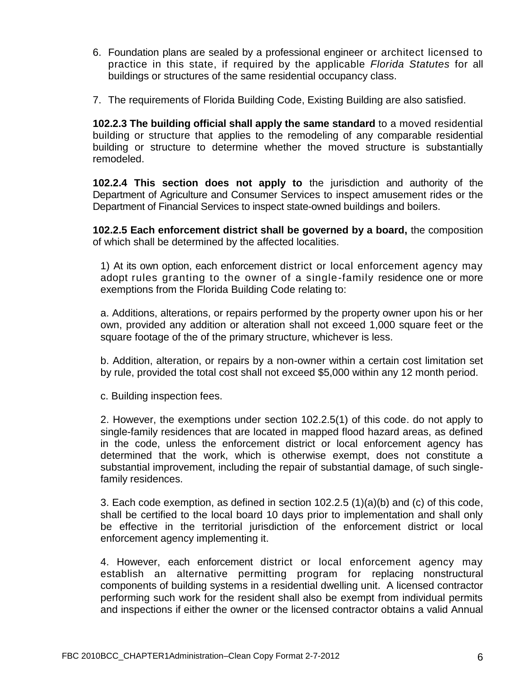- 6. Foundation plans are sealed by a professional engineer or architect licensed to practice in this state, if required by the applicable *Florida Statutes* for all buildings or structures of the same residential occupancy class.
- 7. The requirements of Florida Building Code, Existing Building are also satisfied.

**102.2.3 The building official shall apply the same standard** to a moved residential building or structure that applies to the remodeling of any comparable residential building or structure to determine whether the moved structure is substantially remodeled.

**102.2.4 This section does not apply to** the jurisdiction and authority of the Department of Agriculture and Consumer Services to inspect amusement rides or the Department of Financial Services to inspect state-owned buildings and boilers.

**102.2.5 Each enforcement district shall be governed by a board,** the composition of which shall be determined by the affected localities.

1) At its own option, each enforcement district or local enforcement agency may adopt rules granting to the owner of a single-family residence one or more exemptions from the Florida Building Code relating to:

a. Additions, alterations, or repairs performed by the property owner upon his or her own, provided any addition or alteration shall not exceed 1,000 square feet or the square footage of the of the primary structure, whichever is less.

b. Addition, alteration, or repairs by a non-owner within a certain cost limitation set by rule, provided the total cost shall not exceed \$5,000 within any 12 month period.

c. Building inspection fees.

2. However, the exemptions under section 102.2.5(1) of this code. do not apply to single-family residences that are located in mapped flood hazard areas, as defined in the code, unless the enforcement district or local enforcement agency has determined that the work, which is otherwise exempt, does not constitute a substantial improvement, including the repair of substantial damage, of such singlefamily residences.

3. Each code exemption, as defined in section 102.2.5 (1)(a)(b) and (c) of this code, shall be certified to the local board 10 days prior to implementation and shall only be effective in the territorial jurisdiction of the enforcement district or local enforcement agency implementing it.

4. However, each enforcement district or local enforcement agency may establish an alternative permitting program for replacing nonstructural components of building systems in a residential dwelling unit. A licensed contractor performing such work for the resident shall also be exempt from individual permits and inspections if either the owner or the licensed contractor obtains a valid Annual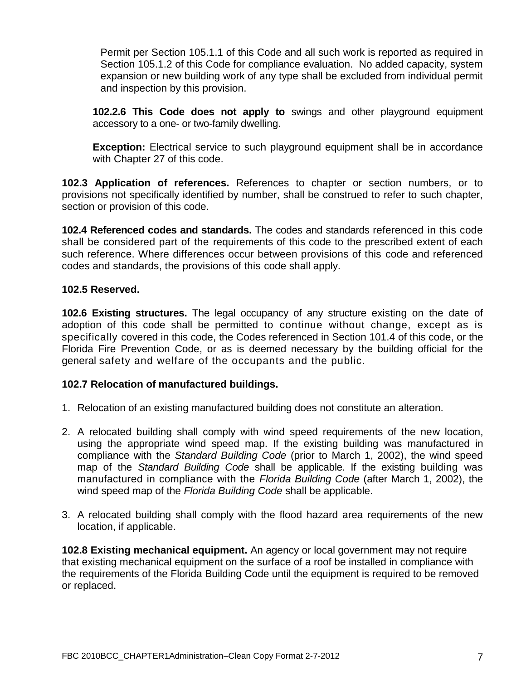Permit per Section 105.1.1 of this Code and all such work is reported as required in Section 105.1.2 of this Code for compliance evaluation. No added capacity, system expansion or new building work of any type shall be excluded from individual permit and inspection by this provision.

**102.2.6 This Code does not apply to** swings and other playground equipment accessory to a one- or two-family dwelling.

**Exception:** Electrical service to such playground equipment shall be in accordance with Chapter 27 of this code.

**102.3 Application of references.** References to chapter or section numbers, or to provisions not specifically identified by number, shall be construed to refer to such chapter, section or provision of this code.

**102.4 Referenced codes and standards.** The codes and standards referenced in this code shall be considered part of the requirements of this code to the prescribed extent of each such reference. Where differences occur between provisions of this code and referenced codes and standards, the provisions of this code shall apply.

#### **102.5 Reserved.**

**102.6 Existing structures.** The legal occupancy of any structure existing on the date of adoption of this code shall be permitted to continue without change, except as is specifically covered in this code, the Codes referenced in Section 101.4 of this code, or the Florida Fire Prevention Code, or as is deemed necessary by the building official for the general safety and welfare of the occupants and the public.

## **102.7 Relocation of manufactured buildings.**

- 1. Relocation of an existing manufactured building does not constitute an alteration.
- 2. A relocated building shall comply with wind speed requirements of the new location, using the appropriate wind speed map. If the existing building was manufactured in compliance with the *Standard Building Code* (prior to March 1, 2002), the wind speed map of the *Standard Building Code* shall be applicable. If the existing building was manufactured in compliance with the *Florida Building Code* (after March 1, 2002), the wind speed map of the *Florida Building Code* shall be applicable.
- 3. A relocated building shall comply with the flood hazard area requirements of the new location, if applicable.

**102.8 Existing mechanical equipment.** An agency or local government may not require that existing mechanical equipment on the surface of a roof be installed in compliance with the requirements of the Florida Building Code until the equipment is required to be removed or replaced.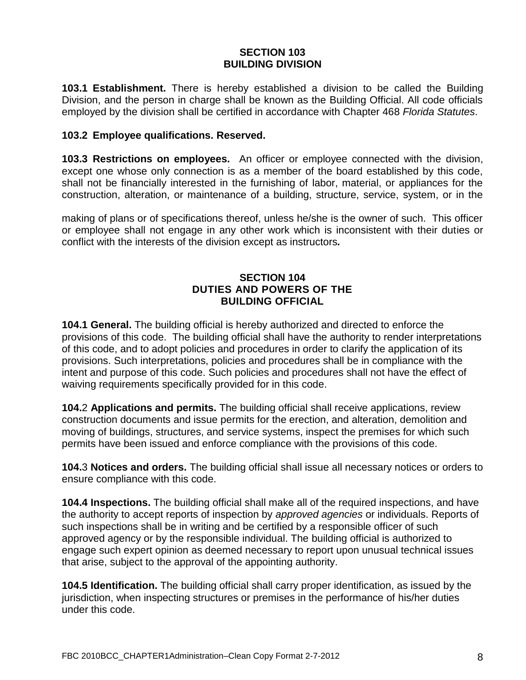## **SECTION 103 BUILDING DIVISION**

**103.1 Establishment.** There is hereby established a division to be called the Building Division, and the person in charge shall be known as the Building Official. All code officials employed by the division shall be certified in accordance with Chapter 468 *Florida Statutes*.

### **103.2 Employee qualifications. Reserved.**

**103.3 Restrictions on employees.** An officer or employee connected with the division, except one whose only connection is as a member of the board established by this code, shall not be financially interested in the furnishing of labor, material, or appliances for the construction, alteration, or maintenance of a building, structure, service, system, or in the

making of plans or of specifications thereof, unless he/she is the owner of such. This officer or employee shall not engage in any other work which is inconsistent with their duties or conflict with the interests of the division except as instructors*.*

## **SECTION 104 DUTIES AND POWERS OF THE BUILDING OFFICIAL**

**104.1 General.** The building official is hereby authorized and directed to enforce the provisions of this code. The building official shall have the authority to render interpretations of this code, and to adopt policies and procedures in order to clarify the application of its provisions. Such interpretations, policies and procedures shall be in compliance with the intent and purpose of this code. Such policies and procedures shall not have the effect of waiving requirements specifically provided for in this code.

**104.**2 **Applications and permits.** The building official shall receive applications, review construction documents and issue permits for the erection, and alteration, demolition and moving of buildings, structures, and service systems, inspect the premises for which such permits have been issued and enforce compliance with the provisions of this code.

**104.**3 **Notices and orders.** The building official shall issue all necessary notices or orders to ensure compliance with this code.

**104.4 Inspections.** The building official shall make all of the required inspections, and have the authority to accept reports of inspection by *approved agencies* or individuals. Reports of such inspections shall be in writing and be certified by a responsible officer of such approved agency or by the responsible individual. The building official is authorized to engage such expert opinion as deemed necessary to report upon unusual technical issues that arise, subject to the approval of the appointing authority.

**104.5 Identification.** The building official shall carry proper identification, as issued by the jurisdiction, when inspecting structures or premises in the performance of his/her duties under this code.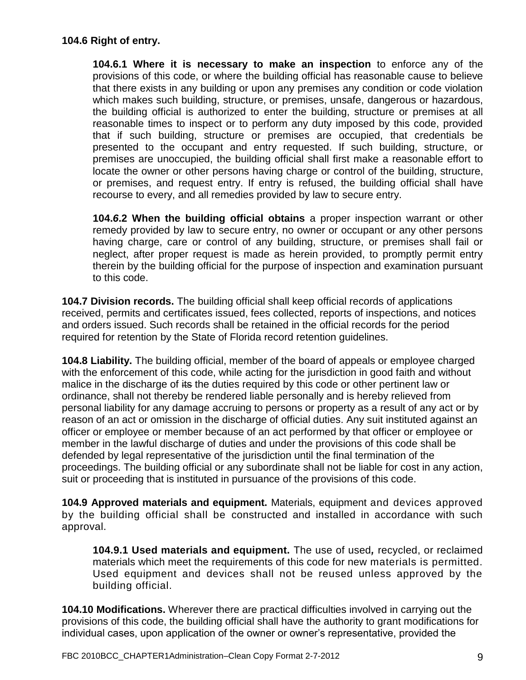**104.6.1 Where it is necessary to make an inspection** to enforce any of the provisions of this code, or where the building official has reasonable cause to believe that there exists in any building or upon any premises any condition or code violation which makes such building, structure, or premises, unsafe, dangerous or hazardous, the building official is authorized to enter the building, structure or premises at all reasonable times to inspect or to perform any duty imposed by this code, provided that if such building, structure or premises are occupied, that credentials be presented to the occupant and entry requested. If such building, structure, or premises are unoccupied, the building official shall first make a reasonable effort to locate the owner or other persons having charge or control of the building, structure, or premises, and request entry. If entry is refused, the building official shall have recourse to every, and all remedies provided by law to secure entry.

**104.***6***.2 When the building official obtains** a proper inspection warrant or other remedy provided by law to secure entry, no owner or occupant or any other persons having charge, care or control of any building, structure, or premises shall fail or neglect, after proper request is made as herein provided, to promptly permit entry therein by the building official for the purpose of inspection and examination pursuant to this code.

**104.7 Division records.** The building official shall keep official records of applications received, permits and certificates issued, fees collected, reports of inspections, and notices and orders issued. Such records shall be retained in the official records for the period required for retention by the State of Florida record retention guidelines.

**104.8 Liability.** The building official, member of the board of appeals or employee charged with the enforcement of this code, while acting for the jurisdiction in good faith and without malice in the discharge of its the duties required by this code or other pertinent law or ordinance, shall not thereby be rendered liable personally and is hereby relieved from personal liability for any damage accruing to persons or property as a result of any act or by reason of an act or omission in the discharge of official duties. Any suit instituted against an officer or employee or member because of an act performed by that officer or employee or member in the lawful discharge of duties and under the provisions of this code shall be defended by legal representative of the jurisdiction until the final termination of the proceedings. The building official or any subordinate shall not be liable for cost in any action, suit or proceeding that is instituted in pursuance of the provisions of this code.

**104.9 Approved materials and equipment.** Materials, equipment and devices approved by the building official shall be constructed and installed in accordance with such approval.

**104.9.1 Used materials and equipment.** The use of used*,* recycled, or reclaimed materials which meet the requirements of this code for new materials is permitted. Used equipment and devices shall not be reused unless approved by the building official.

**104.10 Modifications.** Wherever there are practical difficulties involved in carrying out the provisions of this code, the building official shall have the authority to grant modifications for individual cases, upon application of the owner or owner's representative, provided the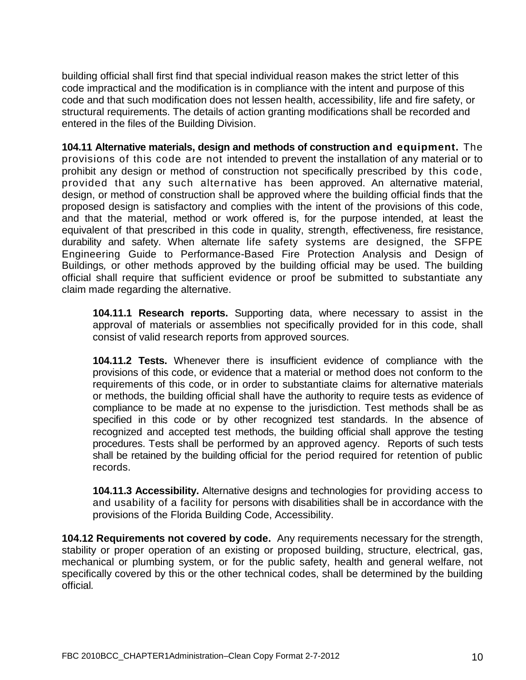building official shall first find that special individual reason makes the strict letter of this code impractical and the modification is in compliance with the intent and purpose of this code and that such modification does not lessen health, accessibility, life and fire safety, or structural requirements. The details of action granting modifications shall be recorded and entered in the files of the Building Division.

**104.11 Alternative materials, design and methods of construction and equipment.** The provisions of this code are not intended to prevent the installation of any material or to prohibit any design or method of construction not specifically prescribed by this code, provided that any such alternative has been approved. An alternative material, design, or method of construction shall be approved where the building official finds that the proposed design is satisfactory and complies with the intent of the provisions of this code, and that the material, method or work offered is, for the purpose intended, at least the equivalent of that prescribed in this code in quality, strength, effectiveness, fire resistance, durability and safety. When alternate life safety systems are designed, the SFPE Engineering Guide to Performance-Based Fire Protection Analysis and Design of Buildings*,* or other methods approved by the building official may be used. The building official shall require that sufficient evidence or proof be submitted to substantiate any claim made regarding the alternative.

**104.11.1 Research reports.** Supporting data, where necessary to assist in the approval of materials or assemblies not specifically provided for in this code, shall consist of valid research reports from approved sources.

**104.11.2 Tests.** Whenever there is insufficient evidence of compliance with the provisions of this code, or evidence that a material or method does not conform to the requirements of this code, or in order to substantiate claims for alternative materials or methods, the building official shall have the authority to require tests as evidence of compliance to be made at no expense to the jurisdiction. Test methods shall be as specified in this code or by other recognized test standards. In the absence of recognized and accepted test methods, the building official shall approve the testing procedures. Tests shall be performed by an approved agency. Reports of such tests shall be retained by the building official for the period required for retention of public records.

**104.11.3 Accessibility.** Alternative designs and technologies for providing access to and usability of a facility for persons with disabilities shall be in accordance with the provisions of the Florida Building Code, Accessibility.

**104.12 Requirements not covered by code.** Any requirements necessary for the strength, stability or proper operation of an existing or proposed building, structure, electrical, gas, mechanical or plumbing system, or for the public safety, health and general welfare, not specifically covered by this or the other technical codes, shall be determined by the building official*.*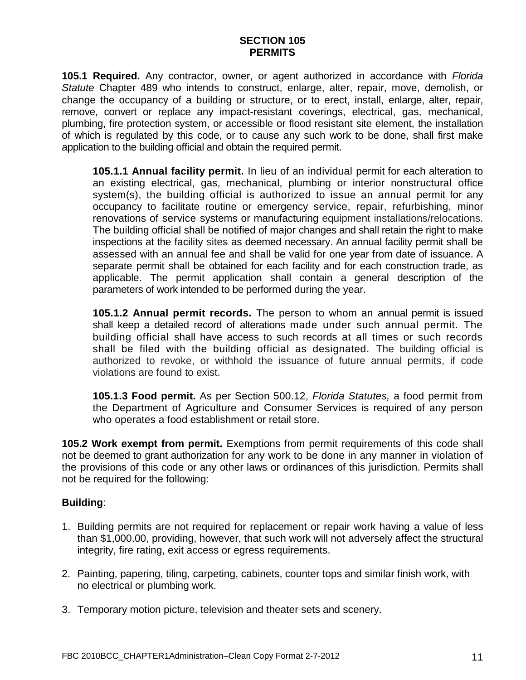#### **SECTION 105 PERMITS**

**105.1 Required.** Any contractor, owner, or agent authorized in accordance with *Florida Statute* Chapter 489 who intends to construct, enlarge, alter, repair, move, demolish, or change the occupancy of a building or structure, or to erect, install, enlarge, alter, repair, remove, convert or replace any impact-resistant coverings, electrical, gas, mechanical, plumbing, fire protection system, or accessible or flood resistant site element, the installation of which is regulated by this code, or to cause any such work to be done, shall first make application to the building official and obtain the required permit.

**105.1.1 Annual facility permit.** In lieu of an individual permit for each alteration to an existing electrical, gas, mechanical, plumbing or interior nonstructural office system(s), the building official is authorized to issue an annual permit for any occupancy to facilitate routine or emergency service, repair, refurbishing, minor renovations of service systems or manufacturing equipment installations/relocations. The building official shall be notified of major changes and shall retain the right to make inspections at the facility sites as deemed necessary. An annual facility permit shall be assessed with an annual fee and shall be valid for one year from date of issuance. A separate permit shall be obtained for each facility and for each construction trade, as applicable. The permit application shall contain a general description of the parameters of work intended to be performed during the year.

**105.1.2 Annual permit records.** The person to whom an annual permit is issued shall keep a detailed record of alterations made under such annual permit. The building official shall have access to such records at all times or such records shall be filed with the building official as designated. The building official is authorized to revoke, or withhold the issuance of future annual permits, if code violations are found to exist.

**105.1.3 Food permit.** As per Section 500.12, *Florida Statutes,* a food permit from the Department of Agriculture and Consumer Services is required of any person who operates a food establishment or retail store.

**105.2 Work exempt from permit.** Exemptions from permit requirements of this code shall not be deemed to grant authorization for any work to be done in any manner in violation of the provisions of this code or any other laws or ordinances of this jurisdiction. Permits shall not be required for the following:

## **Building**:

- 1. Building permits are not required for replacement or repair work having a value of less than \$1,000.00, providing, however, that such work will not adversely affect the structural integrity, fire rating, exit access or egress requirements.
- 2. Painting, papering, tiling, carpeting, cabinets, counter tops and similar finish work, with no electrical or plumbing work.
- 3. Temporary motion picture, television and theater sets and scenery.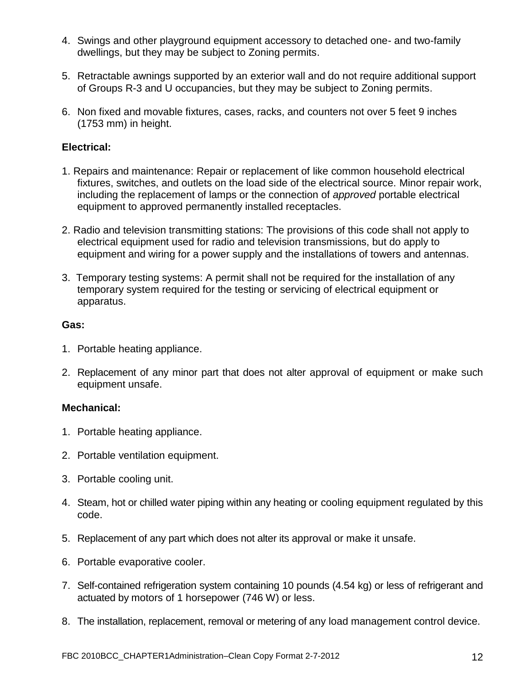- 4. Swings and other playground equipment accessory to detached one- and two-family dwellings, but they may be subject to Zoning permits.
- 5. Retractable awnings supported by an exterior wall and do not require additional support of Groups R-3 and U occupancies, but they may be subject to Zoning permits.
- 6. Non fixed and movable fixtures, cases, racks, and counters not over 5 feet 9 inches (1753 mm) in height.

## **Electrical:**

- 1. Repairs and maintenance: Repair or replacement of like common household electrical fixtures, switches, and outlets on the load side of the electrical source. Minor repair work, including the replacement of lamps or the connection of *approved* portable electrical equipment to approved permanently installed receptacles.
- 2. Radio and television transmitting stations: The provisions of this code shall not apply to electrical equipment used for radio and television transmissions, but do apply to equipment and wiring for a power supply and the installations of towers and antennas.
- 3. Temporary testing systems: A permit shall not be required for the installation of any temporary system required for the testing or servicing of electrical equipment or apparatus.

#### **Gas:**

- 1. Portable heating appliance.
- 2. Replacement of any minor part that does not alter approval of equipment or make such equipment unsafe.

## **Mechanical:**

- 1. Portable heating appliance.
- 2. Portable ventilation equipment.
- 3. Portable cooling unit.
- 4. Steam, hot or chilled water piping within any heating or cooling equipment regulated by this code.
- 5. Replacement of any part which does not alter its approval or make it unsafe.
- 6. Portable evaporative cooler.
- 7. Self-contained refrigeration system containing 10 pounds (4.54 kg) or less of refrigerant and actuated by motors of 1 horsepower (746 W) or less.
- 8. The installation, replacement, removal or metering of any load management control device.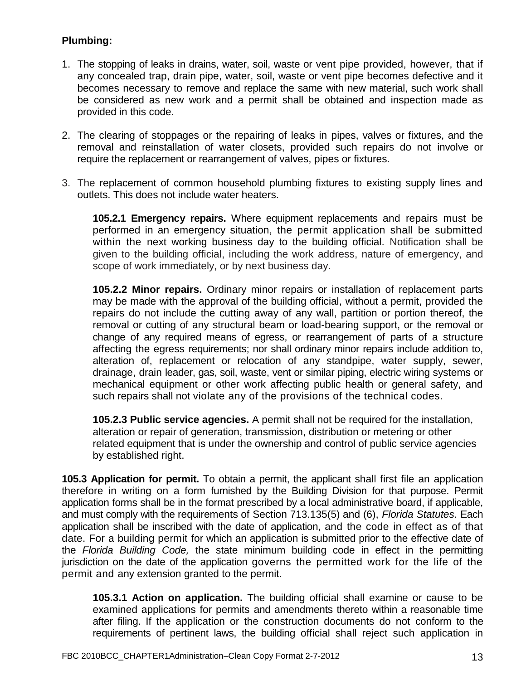## **Plumbing:**

- 1. The stopping of leaks in drains, water, soil, waste or vent pipe provided, however, that if any concealed trap, drain pipe, water, soil, waste or vent pipe becomes defective and it becomes necessary to remove and replace the same with new material, such work shall be considered as new work and a permit shall be obtained and inspection made as provided in this code.
- 2. The clearing of stoppages or the repairing of leaks in pipes, valves or fixtures, and the removal and reinstallation of water closets, provided such repairs do not involve or require the replacement or rearrangement of valves, pipes or fixtures.
- 3. The replacement of common household plumbing fixtures to existing supply lines and outlets. This does not include water heaters.

**105.2.1 Emergency repairs.** Where equipment replacements and repairs must be performed in an emergency situation, the permit application shall be submitted within the next working business day to the building official. Notification shall be given to the building official, including the work address, nature of emergency, and scope of work immediately, or by next business day.

**105.2.2 Minor repairs.** Ordinary minor repairs or installation of replacement parts may be made with the approval of the building official, without a permit, provided the repairs do not include the cutting away of any wall, partition or portion thereof, the removal or cutting of any structural beam or load-bearing support, or the removal or change of any required means of egress, or rearrangement of parts of a structure affecting the egress requirements; nor shall ordinary minor repairs include addition to, alteration of, replacement or relocation of any standpipe, water supply, sewer, drainage, drain leader, gas, soil, waste, vent or similar piping, electric wiring systems or mechanical equipment or other work affecting public health or general safety, and such repairs shall not violate any of the provisions of the technical codes.

**105.2.3 Public service agencies.** A permit shall not be required for the installation, alteration or repair of generation, transmission, distribution or metering or other related equipment that is under the ownership and control of public service agencies by established right.

**105.3 Application for permit.** To obtain a permit, the applicant shall first file an application therefore in writing on a form furnished by the Building Division for that purpose. Permit application forms shall be in the format prescribed by a local administrative board, if applicable, and must comply with the requirements of Section 713.135(5) and (6), *Florida Statutes.* Each application shall be inscribed with the date of application, and the code in effect as of that date. For a building permit for which an application is submitted prior to the effective date of the *Florida Building Code,* the state minimum building code in effect in the permitting jurisdiction on the date of the application governs the permitted work for the life of the permit and any extension granted to the permit.

**105.3.1 Action on application.** The building official shall examine or cause to be examined applications for permits and amendments thereto within a reasonable time after filing. If the application or the construction documents do not conform to the requirements of pertinent laws, the building official shall reject such application in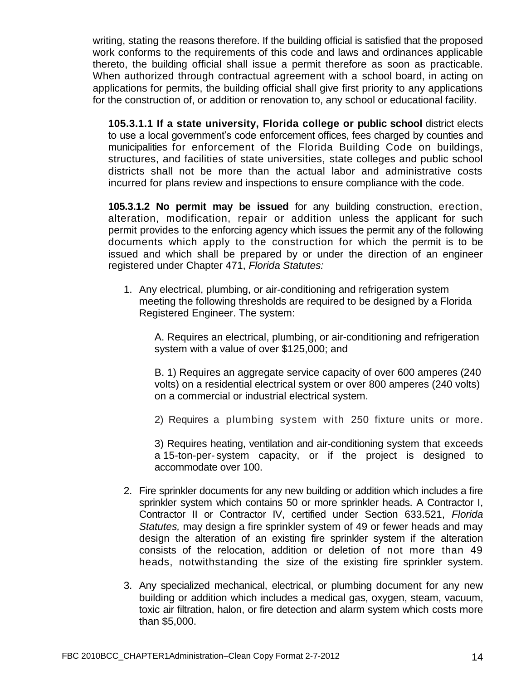writing, stating the reasons therefore. If the building official is satisfied that the proposed work conforms to the requirements of this code and laws and ordinances applicable thereto, the building official shall issue a permit therefore as soon as practicable. When authorized through contractual agreement with a school board, in acting on applications for permits, the building official shall give first priority to any applications for the construction of, or addition or renovation to, any school or educational facility.

**105.3.1.1 If a state university, Florida college or public school** district elects to use a local government's code enforcement offices, fees charged by counties and municipalities for enforcement of the Florida Building Code on buildings, structures, and facilities of state universities, state colleges and public school districts shall not be more than the actual labor and administrative costs incurred for plans review and inspections to ensure compliance with the code.

**105.3.1.2 No permit may be issued** for any building construction, erection, alteration, modification, repair or addition unless the applicant for such permit provides to the enforcing agency which issues the permit any of the following documents which apply to the construction for which the permit is to be issued and which shall be prepared by or under the direction of an engineer registered under Chapter 471, *Florida Statutes:*

1. Any electrical, plumbing, or air-conditioning and refrigeration system meeting the following thresholds are required to be designed by a Florida Registered Engineer. The system:

A. Requires an electrical, plumbing, or air-conditioning and refrigeration system with a value of over \$125,000; and

B. 1) Requires an aggregate service capacity of over 600 amperes (240 volts) on a residential electrical system or over 800 amperes (240 volts) on a commercial or industrial electrical system.

2) Requires a plumbing system with 250 fixture units or more.

3) Requires heating, ventilation and air-conditioning system that exceeds a 15-ton-per- system capacity, or if the project is designed to accommodate over 100.

- 2. Fire sprinkler documents for any new building or addition which includes a fire sprinkler system which contains 50 or more sprinkler heads. A Contractor I, Contractor II or Contractor IV, certified under Section 633.521, *Florida Statutes,* may design a fire sprinkler system of 49 or fewer heads and may design the alteration of an existing fire sprinkler system if the alteration consists of the relocation, addition or deletion of not more than 49 heads, notwithstanding the size of the existing fire sprinkler system.
- 3. Any specialized mechanical, electrical, or plumbing document for any new building or addition which includes a medical gas, oxygen, steam, vacuum, toxic air filtration, halon, or fire detection and alarm system which costs more than \$5,000.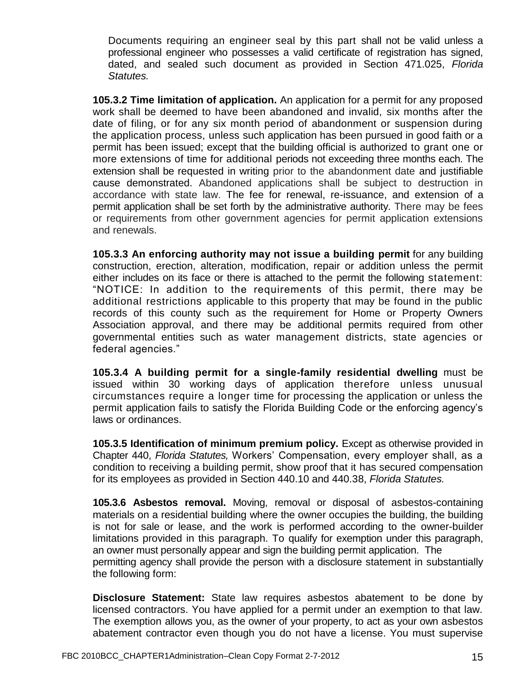Documents requiring an engineer seal by this part shall not be valid unless a professional engineer who possesses a valid certificate of registration has signed, dated, and sealed such document as provided in Section 471.025, *Florida Statutes.*

**105.3.2 Time limitation of application.** An application for a permit for any proposed work shall be deemed to have been abandoned and invalid, six months after the date of filing, or for any six month period of abandonment or suspension during the application process, unless such application has been pursued in good faith or a permit has been issued; except that the building official is authorized to grant one or more extensions of time for additional periods not exceeding three months each. The extension shall be requested in writing prior to the abandonment date and justifiable cause demonstrated. Abandoned applications shall be subject to destruction in accordance with state law. The fee for renewal, re-issuance, and extension of a permit application shall be set forth by the administrative authority. There may be fees or requirements from other government agencies for permit application extensions and renewals.

**105.3.3 An enforcing authority may not issue a building permit** for any building construction, erection, alteration, modification, repair or addition unless the permit either includes on its face or there is attached to the permit the following statement: "NOTICE: In addition to the requirements of this permit, there may be additional restrictions applicable to this property that may be found in the public records of this county such as the requirement for Home or Property Owners Association approval, and there may be additional permits required from other governmental entities such as water management districts, state agencies or federal agencies."

**105.3.4 A building permit for a single-family residential dwelling** must be issued within 30 working days of application therefore unless unusual circumstances require a longer time for processing the application or unless the permit application fails to satisfy the Florida Building Code or the enforcing agency's laws or ordinances.

**105.3.5 Identification of minimum premium policy.** Except as otherwise provided in Chapter 440, *Florida Statutes,* Workers' Compensation, every employer shall, as a condition to receiving a building permit, show proof that it has secured compensation for its employees as provided in Section 440.10 and 440.38, *Florida Statutes.*

**105.3.6 Asbestos removal.** Moving, removal or disposal of asbestos-containing materials on a residential building where the owner occupies the building, the building is not for sale or lease, and the work is performed according to the owner-builder limitations provided in this paragraph. To qualify for exemption under this paragraph, an owner must personally appear and sign the building permit application. The permitting agency shall provide the person with a disclosure statement in substantially the following form:

**Disclosure Statement:** State law requires asbestos abatement to be done by licensed contractors. You have applied for a permit under an exemption to that law. The exemption allows you, as the owner of your property, to act as your own asbestos abatement contractor even though you do not have a license. You must supervise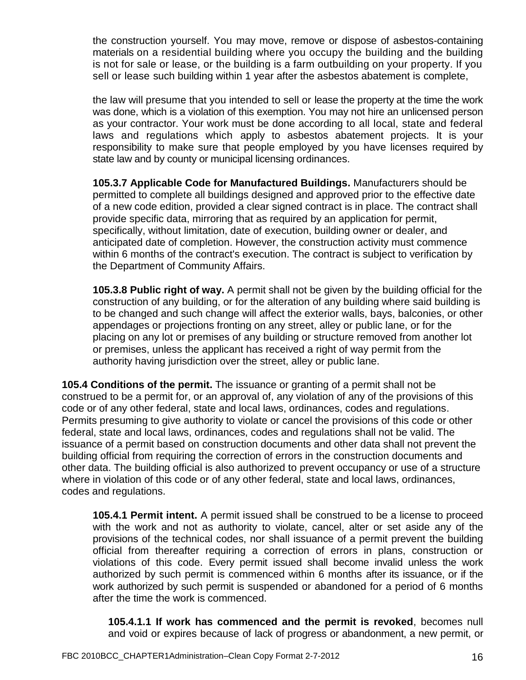the construction yourself. You may move, remove or dispose of asbestos-containing materials on a residential building where you occupy the building and the building is not for sale or lease, or the building is a farm outbuilding on your property. If you sell or lease such building within 1 year after the asbestos abatement is complete,

the law will presume that you intended to sell or lease the property at the time the work was done, which is a violation of this exemption. You may not hire an unlicensed person as your contractor. Your work must be done according to all local, state and federal laws and regulations which apply to asbestos abatement projects. It is your responsibility to make sure that people employed by you have licenses required by state law and by county or municipal licensing ordinances.

**105.3.7 Applicable Code for Manufactured Buildings.** Manufacturers should be permitted to complete all buildings designed and approved prior to the effective date of a new code edition, provided a clear signed contract is in place. The contract shall provide specific data, mirroring that as required by an application for permit, specifically, without limitation, date of execution, building owner or dealer, and anticipated date of completion. However, the construction activity must commence within 6 months of the contract's execution. The contract is subject to verification by the Department of Community Affairs.

**105.3.8 Public right of way.** A permit shall not be given by the building official for the construction of any building, or for the alteration of any building where said building is to be changed and such change will affect the exterior walls, bays, balconies, or other appendages or projections fronting on any street, alley or public lane, or for the placing on any lot or premises of any building or structure removed from another lot or premises, unless the applicant has received a right of way permit from the authority having jurisdiction over the street, alley or public lane.

**105.4 Conditions of the permit.** The issuance or granting of a permit shall not be construed to be a permit for, or an approval of, any violation of any of the provisions of this code or of any other federal, state and local laws, ordinances, codes and regulations. Permits presuming to give authority to violate or cancel the provisions of this code or other federal, state and local laws, ordinances, codes and regulations shall not be valid. The issuance of a permit based on construction documents and other data shall not prevent the building official from requiring the correction of errors in the construction documents and other data. The building official is also authorized to prevent occupancy or use of a structure where in violation of this code or of any other federal, state and local laws, ordinances, codes and regulations.

**105.4.1 Permit intent.** A permit issued shall be construed to be a license to proceed with the work and not as authority to violate, cancel, alter or set aside any of the provisions of the technical codes, nor shall issuance of a permit prevent the building official from thereafter requiring a correction of errors in plans, construction or violations of this code. Every permit issued shall become invalid unless the work authorized by such permit is commenced within 6 months after its issuance, or if the work authorized by such permit is suspended or abandoned for a period of 6 months after the time the work is commenced.

**105.4.1.1 If work has commenced and the permit is revoked**, becomes null and void or expires because of lack of progress or abandonment, a new permit, or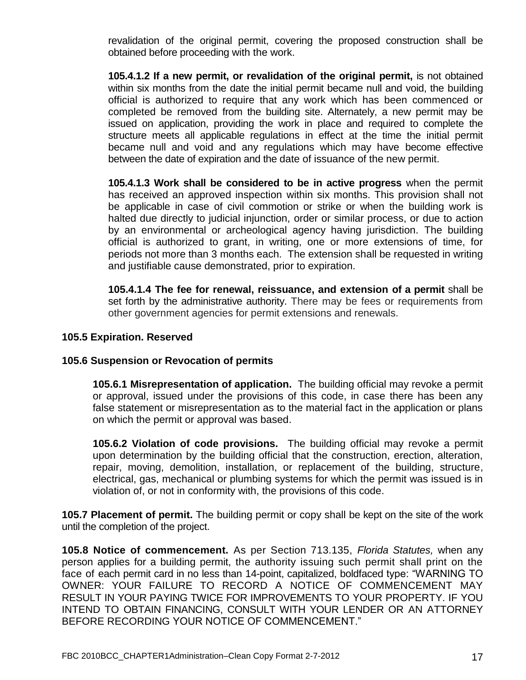revalidation of the original permit, covering the proposed construction shall be obtained before proceeding with the work.

**105.4.1.2 If a new permit, or revalidation of the original permit,** is not obtained within six months from the date the initial permit became null and void, the building official is authorized to require that any work which has been commenced or completed be removed from the building site. Alternately, a new permit may be issued on application, providing the work in place and required to complete the structure meets all applicable regulations in effect at the time the initial permit became null and void and any regulations which may have become effective between the date of expiration and the date of issuance of the new permit.

**105.4.1.3 Work shall be considered to be in active progress** when the permit has received an approved inspection within six months. This provision shall not be applicable in case of civil commotion or strike or when the building work is halted due directly to judicial injunction, order or similar process, or due to action by an environmental or archeological agency having jurisdiction. The building official is authorized to grant, in writing, one or more extensions of time, for periods not more than 3 months each. The extension shall be requested in writing and justifiable cause demonstrated, prior to expiration.

**105.4.1.4 The fee for renewal, reissuance, and extension of a permit** shall be set forth by the administrative authority. There may be fees or requirements from other government agencies for permit extensions and renewals.

#### **105.5 Expiration. Reserved**

## **105.6 Suspension or Revocation of permits**

**105.6.1 Misrepresentation of application.** The building official may revoke a permit or approval, issued under the provisions of this code, in case there has been any false statement or misrepresentation as to the material fact in the application or plans on which the permit or approval was based.

**105.6.2 Violation of code provisions.** The building official may revoke a permit upon determination by the building official that the construction, erection, alteration, repair, moving, demolition, installation, or replacement of the building, structure, electrical, gas, mechanical or plumbing systems for which the permit was issued is in violation of, or not in conformity with, the provisions of this code.

**105.7 Placement of permit.** The building permit or copy shall be kept on the site of the work until the completion of the project.

**105.8 Notice of commencement.** As per Section 713.135, *Florida Statutes,* when any person applies for a building permit, the authority issuing such permit shall print on the face of each permit card in no less than 14-point, capitalized, boldfaced type: "WARNING TO OWNER: YOUR FAILURE TO RECORD A NOTICE OF COMMENCEMENT MAY RESULT IN YOUR PAYING TWICE FOR IMPROVEMENTS TO YOUR PROPERTY. IF YOU INTEND TO OBTAIN FINANCING, CONSULT WITH YOUR LENDER OR AN ATTORNEY BEFORE RECORDING YOUR NOTICE OF COMMENCEMENT."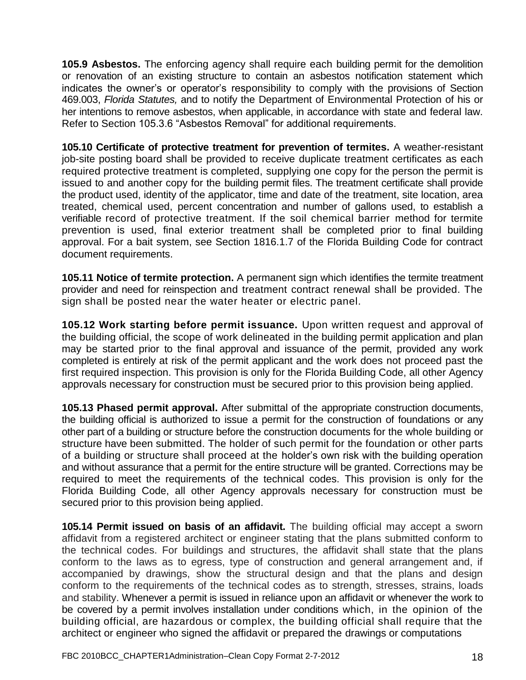**105.9 Asbestos.** The enforcing agency shall require each building permit for the demolition or renovation of an existing structure to contain an asbestos notification statement which indicates the owner's or operator's responsibility to comply with the provisions of Section 469.003, *Florida Statutes,* and to notify the Department of Environmental Protection of his or her intentions to remove asbestos, when applicable, in accordance with state and federal law. Refer to Section 105.3.6 "Asbestos Removal" for additional requirements.

**105.10 Certificate of protective treatment for prevention of termites.** A weather-resistant job-site posting board shall be provided to receive duplicate treatment certificates as each required protective treatment is completed, supplying one copy for the person the permit is issued to and another copy for the building permit files. The treatment certificate shall provide the product used, identity of the applicator, time and date of the treatment, site location, area treated, chemical used, percent concentration and number of gallons used, to establish a verifiable record of protective treatment. If the soil chemical barrier method for termite prevention is used, final exterior treatment shall be completed prior to final building approval. For a bait system, see Section 1816.1.7 of the Florida Building Code for contract document requirements.

**105.11 Notice of termite protection.** A permanent sign which identifies the termite treatment provider and need for reinspection and treatment contract renewal shall be provided. The sign shall be posted near the water heater or electric panel.

**105.12 Work starting before permit issuance.** Upon written request and approval of the building official, the scope of work delineated in the building permit application and plan may be started prior to the final approval and issuance of the permit, provided any work completed is entirely at risk of the permit applicant and the work does not proceed past the first required inspection. This provision is only for the Florida Building Code, all other Agency approvals necessary for construction must be secured prior to this provision being applied.

**105.13 Phased permit approval.** After submittal of the appropriate construction documents, the building official is authorized to issue a permit for the construction of foundations or any other part of a building or structure before the construction documents for the whole building or structure have been submitted. The holder of such permit for the foundation or other parts of a building or structure shall proceed at the holder's own risk with the building operation and without assurance that a permit for the entire structure will be granted. Corrections may be required to meet the requirements of the technical codes. This provision is only for the Florida Building Code, all other Agency approvals necessary for construction must be secured prior to this provision being applied.

**105.14 Permit issued on basis of an affidavit.** The building official may accept a sworn affidavit from a registered architect or engineer stating that the plans submitted conform to the technical codes. For buildings and structures, the affidavit shall state that the plans conform to the laws as to egress, type of construction and general arrangement and, if accompanied by drawings, show the structural design and that the plans and design conform to the requirements of the technical codes as to strength, stresses, strains, loads and stability. Whenever a permit is issued in reliance upon an affidavit or whenever the work to be covered by a permit involves installation under conditions which, in the opinion of the building official, are hazardous or complex, the building official shall require that the architect or engineer who signed the affidavit or prepared the drawings or computations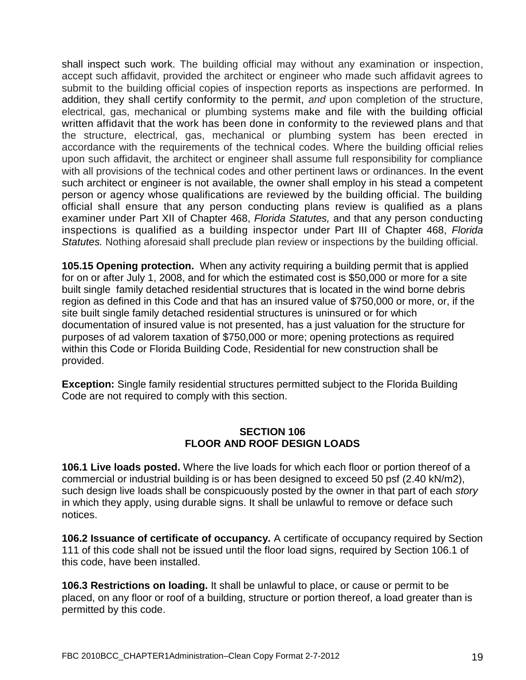shall inspect such work. The building official may without any examination or inspection, accept such affidavit, provided the architect or engineer who made such affidavit agrees to submit to the building official copies of inspection reports as inspections are performed. In addition, they shall certify conformity to the permit, *and* upon completion of the structure, electrical, gas, mechanical or plumbing systems make and file with the building official written affidavit that the work has been done in conformity to the reviewed plans and that the structure, electrical, gas, mechanical or plumbing system has been erected in accordance with the requirements of the technical codes. Where the building official relies upon such affidavit, the architect or engineer shall assume full responsibility for compliance with all provisions of the technical codes and other pertinent laws or ordinances. In the event such architect or engineer is not available, the owner shall employ in his stead a competent person or agency whose qualifications are reviewed by the building official. The building official shall ensure that any person conducting plans review is qualified as a plans examiner under Part XII of Chapter 468, *Florida Statutes,* and that any person conducting inspections is qualified as a building inspector under Part III of Chapter 468, *Florida Statutes.* Nothing aforesaid shall preclude plan review or inspections by the building official.

**105.15 Opening protection.** When any activity requiring a building permit that is applied for on or after July 1, 2008, and for which the estimated cost is \$50,000 or more for a site built single family detached residential structures that is located in the wind borne debris region as defined in this Code and that has an insured value of \$750,000 or more, or, if the site built single family detached residential structures is uninsured or for which documentation of insured value is not presented, has a just valuation for the structure for purposes of ad valorem taxation of \$750,000 or more; opening protections as required within this Code or Florida Building Code, Residential for new construction shall be provided.

**Exception:** Single family residential structures permitted subject to the Florida Building Code are not required to comply with this section.

#### **SECTION 106 FLOOR AND ROOF DESIGN LOADS**

**106.1 Live loads posted.** Where the live loads for which each floor or portion thereof of a commercial or industrial building is or has been designed to exceed 50 psf (2.40 kN/m2), such design live loads shall be conspicuously posted by the owner in that part of each *story*  in which they apply, using durable signs. It shall be unlawful to remove or deface such notices.

**106.2 Issuance of certificate of occupancy.** A certificate of occupancy required by Section 111 of this code shall not be issued until the floor load signs, required by Section 106.1 of this code, have been installed.

**106.3 Restrictions on loading.** It shall be unlawful to place, or cause or permit to be placed, on any floor or roof of a building, structure or portion thereof, a load greater than is permitted by this code.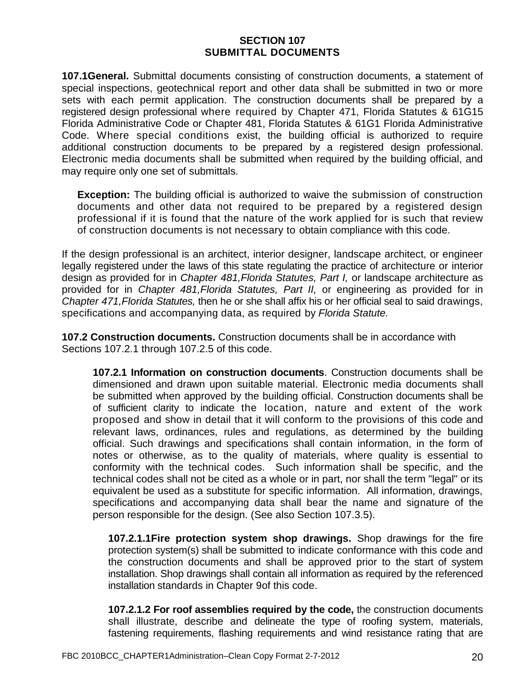### **SECTION 107 SUBMITTAL DOCUMENTS**

**107.1General.** Submittal documents consisting of construction documents, a statement of special inspections, geotechnical report and other data shall be submitted in two or more sets with each permit application. The construction documents shall be prepared by a registered design professional where required by Chapter 471, Florida Statutes & 61G15 Florida Administrative Code or Chapter 481, Florida Statutes & 61G1 Florida Administrative Code. Where special conditions exist, the building official is authorized to require additional construction documents to be prepared by a registered design professional. Electronic media documents shall be submitted when required by the building official, and may require only one set of submittals.

**Exception:** The building official is authorized to waive the submission of construction documents and other data not required to be prepared by a registered design professional if it is found that the nature of the work applied for is such that review of construction documents is not necessary to obtain compliance with this code.

If the design professional is an architect, interior designer, landscape architect, or engineer legally registered under the laws of this state regulating the practice of architecture or interior design as provided for in *Chapter 481,Florida Statutes, Part I,* or landscape architecture as provided for in *Chapter 481,Florida Statutes, Part II,* or engineering as provided for in *Chapter 471,Florida Statutes,* then he or she shall affix his or her official seal to said drawings, specifications and accompanying data, as required by *Florida Statute.* 

**107.2 Construction documents.** Construction documents shall be in accordance with Sections 107.2.1 through 107.2.5 of this code.

**107.2.1 Information on construction documents**. Construction documents shall be dimensioned and drawn upon suitable material. Electronic media documents shall be submitted when approved by the building official. Construction documents shall be of sufficient clarity to indicate the location, nature and extent of the work proposed and show in detail that it will conform to the provisions of this code and relevant laws, ordinances, rules and regulations, as determined by the building official. Such drawings and specifications shall contain information, in the form of notes or otherwise, as to the quality of materials, where quality is essential to conformity with the technical codes. Such information shall be specific, and the technical codes shall not be cited as a whole or in part, nor shall the term "legal" or its equivalent be used as a substitute for specific information. All information, drawings, specifications and accompanying data shall bear the name and signature of the person responsible for the design. (See also Section 107.3.5).

**107.2.1.1Fire protection system shop drawings.** Shop drawings for the fire protection system(s) shall be submitted to indicate conformance with this code and the construction documents and shall be approved prior to the start of system installation. Shop drawings shall contain all information as required by the referenced installation standards in Chapter 9of this code.

**107.2.1.2 For roof assemblies required by the code,** the construction documents shall illustrate, describe and delineate the type of roofing system, materials, fastening requirements, flashing requirements and wind resistance rating that are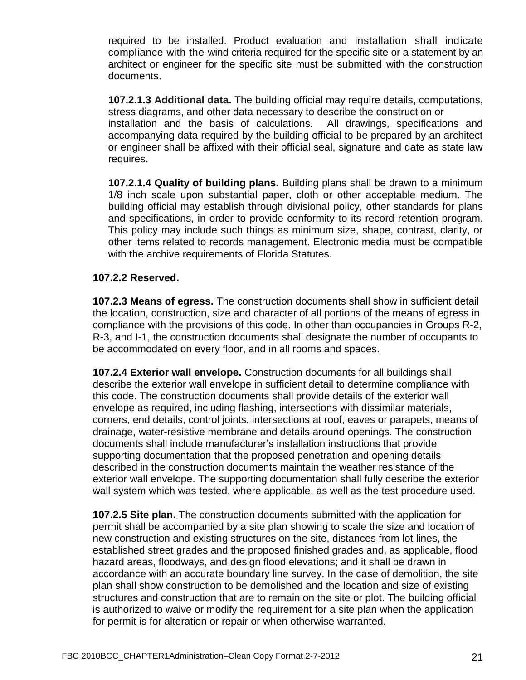required to be installed. Product evaluation and installation shall indicate compliance with the wind criteria required for the specific site or a statement by an architect or engineer for the specific site must be submitted with the construction documents.

**107.2.1.3 Additional data.** The building official may require details, computations, stress diagrams, and other data necessary to describe the construction or installation and the basis of calculations. All drawings, specifications and accompanying data required by the building official to be prepared by an architect or engineer shall be affixed with their official seal, signature and date as state law requires.

**107.2.1.4 Quality of building plans.** Building plans shall be drawn to a minimum 1/8 inch scale upon substantial paper, cloth or other acceptable medium. The building official may establish through divisional policy, other standards for plans and specifications, in order to provide conformity to its record retention program. This policy may include such things as minimum size, shape, contrast, clarity, or other items related to records management. Electronic media must be compatible with the archive requirements of Florida Statutes.

## **107.2.2 Reserved.**

**107.2.3 Means of egress.** The construction documents shall show in sufficient detail the location, construction, size and character of all portions of the means of egress in compliance with the provisions of this code. In other than occupancies in Groups R-2, R-3, and I-1, the construction documents shall designate the number of occupants to be accommodated on every floor, and in all rooms and spaces.

**107.2.4 Exterior wall envelope.** Construction documents for all buildings shall describe the exterior wall envelope in sufficient detail to determine compliance with this code. The construction documents shall provide details of the exterior wall envelope as required, including flashing, intersections with dissimilar materials, corners, end details, control joints, intersections at roof, eaves or parapets, means of drainage, water-resistive membrane and details around openings. The construction documents shall include manufacturer's installation instructions that provide supporting documentation that the proposed penetration and opening details described in the construction documents maintain the weather resistance of the exterior wall envelope. The supporting documentation shall fully describe the exterior wall system which was tested, where applicable, as well as the test procedure used.

**107.2.5 Site plan.** The construction documents submitted with the application for permit shall be accompanied by a site plan showing to scale the size and location of new construction and existing structures on the site, distances from lot lines, the established street grades and the proposed finished grades and, as applicable, flood hazard areas, floodways, and design flood elevations; and it shall be drawn in accordance with an accurate boundary line survey. In the case of demolition, the site plan shall show construction to be demolished and the location and size of existing structures and construction that are to remain on the site or plot. The building official is authorized to waive or modify the requirement for a site plan when the application for permit is for alteration or repair or when otherwise warranted.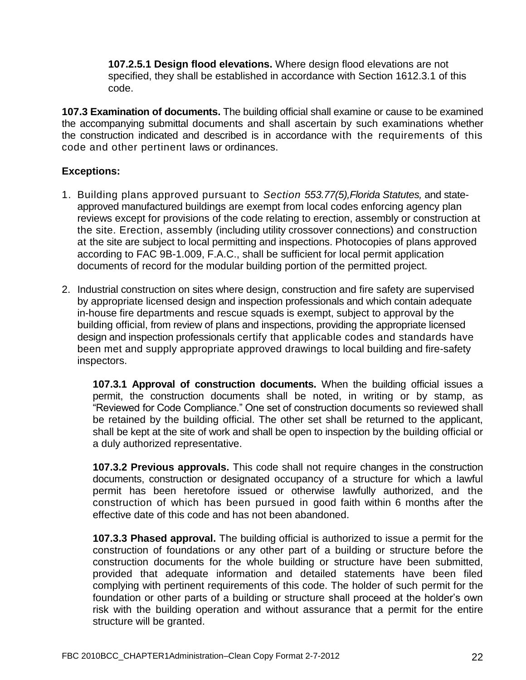**107.2.5.1 Design flood elevations.** Where design flood elevations are not specified, they shall be established in accordance with Section 1612.3.1 of this code.

**107.3 Examination of documents.** The building official shall examine or cause to be examined the accompanying submittal documents and shall ascertain by such examinations whether the construction indicated and described is in accordance with the requirements of this code and other pertinent laws or ordinances.

## **Exceptions:**

- 1. Building plans approved pursuant to *Section 553.77(5),Florida Statutes,* and stateapproved manufactured buildings are exempt from local codes enforcing agency plan reviews except for provisions of the code relating to erection, assembly or construction at the site. Erection, assembly (including utility crossover connections) and construction at the site are subject to local permitting and inspections. Photocopies of plans approved according to FAC 9B-1.009, F.A.C., shall be sufficient for local permit application documents of record for the modular building portion of the permitted project.
- 2. Industrial construction on sites where design, construction and fire safety are supervised by appropriate licensed design and inspection professionals and which contain adequate in-house fire departments and rescue squads is exempt, subject to approval by the building official, from review of plans and inspections, providing the appropriate licensed design and inspection professionals certify that applicable codes and standards have been met and supply appropriate approved drawings to local building and fire-safety inspectors.

**107.3.1 Approval of construction documents.** When the building official issues a permit, the construction documents shall be noted, in writing or by stamp, as "Reviewed for Code Compliance." One set of construction documents so reviewed shall be retained by the building official. The other set shall be returned to the applicant, shall be kept at the site of work and shall be open to inspection by the building official or a duly authorized representative.

**107.3.2 Previous approvals.** This code shall not require changes in the construction documents, construction or designated occupancy of a structure for which a lawful permit has been heretofore issued or otherwise lawfully authorized, and the construction of which has been pursued in good faith within 6 months after the effective date of this code and has not been abandoned.

**107.3.3 Phased approval.** The building official is authorized to issue a permit for the construction of foundations or any other part of a building or structure before the construction documents for the whole building or structure have been submitted, provided that adequate information and detailed statements have been filed complying with pertinent requirements of this code. The holder of such permit for the foundation or other parts of a building or structure shall proceed at the holder's own risk with the building operation and without assurance that a permit for the entire structure will be granted.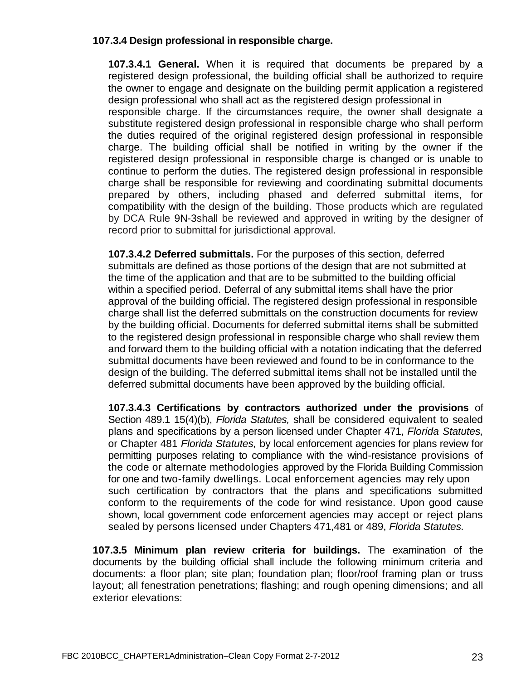### **107.3.4 Design professional in responsible charge.**

**107.3.4.1 General.** When it is required that documents be prepared by a registered design professional, the building official shall be authorized to require the owner to engage and designate on the building permit application a registered design professional who shall act as the registered design professional in responsible charge. If the circumstances require, the owner shall designate a substitute registered design professional in responsible charge who shall perform the duties required of the original registered design professional in responsible charge. The building official shall be notified in writing by the owner if the registered design professional in responsible charge is changed or is unable to

continue to perform the duties. The registered design professional in responsible charge shall be responsible for reviewing and coordinating submittal documents prepared by others, including phased and deferred submittal items, for compatibility with the design of the building. Those products which are regulated by DCA Rule 9N-3shall be reviewed and approved in writing by the designer of record prior to submittal for jurisdictional approval.

**107.3.4.2 Deferred submittals.** For the purposes of this section, deferred submittals are defined as those portions of the design that are not submitted at the time of the application and that are to be submitted to the building official within a specified period. Deferral of any submittal items shall have the prior approval of the building official. The registered design professional in responsible charge shall list the deferred submittals on the construction documents for review by the building official. Documents for deferred submittal items shall be submitted to the registered design professional in responsible charge who shall review them and forward them to the building official with a notation indicating that the deferred submittal documents have been reviewed and found to be in conformance to the design of the building. The deferred submittal items shall not be installed until the deferred submittal documents have been approved by the building official.

**107.3.4.3 Certifications by contractors authorized under the provisions** of Section 489.1 15(4)(b), *Florida Statutes,* shall be considered equivalent to sealed plans and specifications by a person licensed under Chapter 471, *Florida Statutes,*  or Chapter 481 *Florida Statutes,* by local enforcement agencies for plans review for permitting purposes relating to compliance with the wind-resistance provisions of the code or alternate methodologies approved by the Florida Building Commission for one and two-family dwellings. Local enforcement agencies may rely upon such certification by contractors that the plans and specifications submitted conform to the requirements of the code for wind resistance. Upon good cause shown, local government code enforcement agencies may accept or reject plans sealed by persons licensed under Chapters 471,481 or 489, *Florida Statutes.*

**107.3.5 Minimum plan review criteria for buildings.** The examination of the documents by the building official shall include the following minimum criteria and documents: a floor plan; site plan; foundation plan; floor/roof framing plan or truss layout; all fenestration penetrations; flashing; and rough opening dimensions; and all exterior elevations: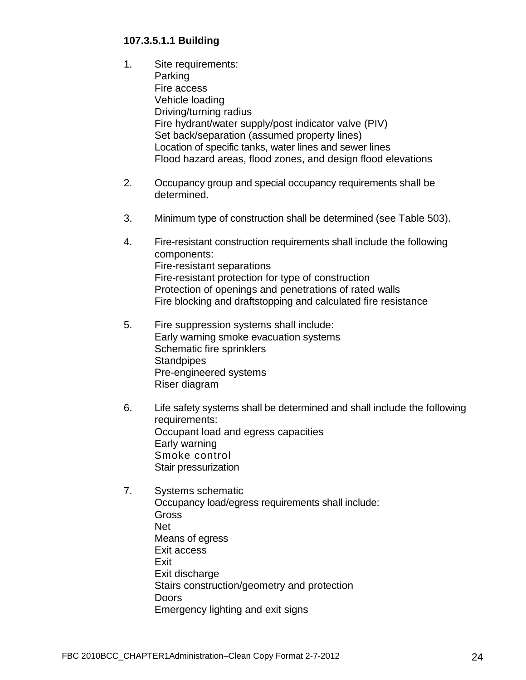## **107.3.5.1.1 Building**

- 1. Site requirements: Parking Fire access Vehicle loading Driving/turning radius Fire hydrant/water supply/post indicator valve (PIV) Set back/separation (assumed property lines) Location of specific tanks, water lines and sewer lines Flood hazard areas, flood zones, and design flood elevations
- 2. Occupancy group and special occupancy requirements shall be determined.
- 3. Minimum type of construction shall be determined (see Table 503).
- 4. Fire-resistant construction requirements shall include the following components: Fire-resistant separations Fire-resistant protection for type of construction Protection of openings and penetrations of rated walls Fire blocking and draftstopping and calculated fire resistance
- 5. Fire suppression systems shall include: Early warning smoke evacuation systems Schematic fire sprinklers **Standpipes** Pre-engineered systems Riser diagram
- 6. Life safety systems shall be determined and shall include the following requirements: Occupant load and egress capacities Early warning Smoke control Stair pressurization
- 7. Systems schematic Occupancy load/egress requirements shall include: **Gross** Net Means of egress Exit access Exit Exit discharge Stairs construction/geometry and protection **Doors** Emergency lighting and exit signs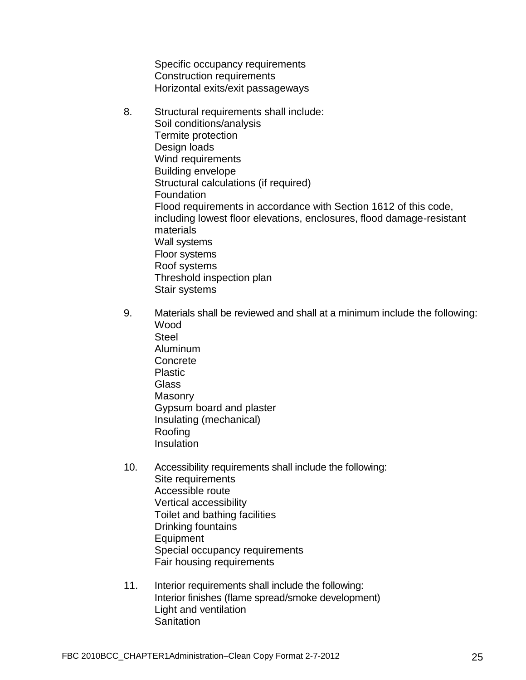Specific occupancy requirements Construction requirements Horizontal exits/exit passageways

- 8. Structural requirements shall include: Soil conditions/analysis Termite protection Design loads Wind requirements Building envelope Structural calculations (if required) **Foundation** Flood requirements in accordance with Section 1612 of this code, including lowest floor elevations, enclosures, flood damage-resistant materials Wall systems Floor systems Roof systems Threshold inspection plan Stair systems
- 9. Materials shall be reviewed and shall at a minimum include the following: Wood Steel Aluminum **Concrete** Plastic **Glass** Masonry Gypsum board and plaster Insulating (mechanical) Roofing Insulation
- 10. Accessibility requirements shall include the following: Site requirements Accessible route Vertical accessibility Toilet and bathing facilities Drinking fountains Equipment Special occupancy requirements Fair housing requirements
- 11. Interior requirements shall include the following: Interior finishes (flame spread/smoke development) Light and ventilation **Sanitation**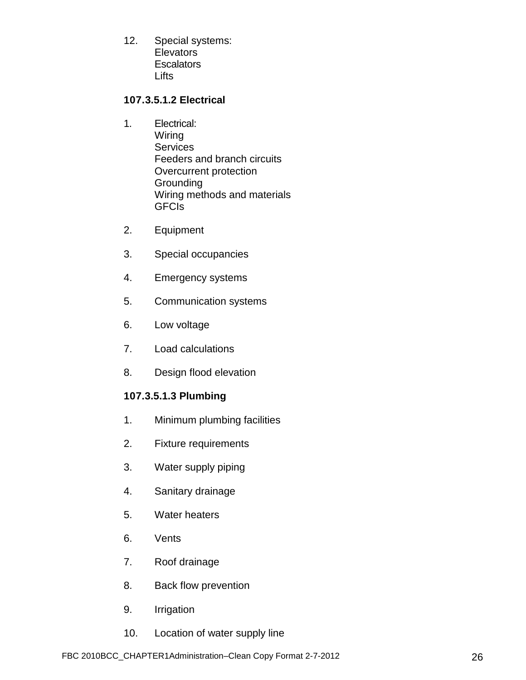12. Special systems: **Elevators Escalators Lifts** 

## **107.3.5.1.2 Electrical**

- 1. Electrical: Wiring **Services** Feeders and branch circuits Overcurrent protection **Grounding** Wiring methods and materials **GFCIS**
- 2. Equipment
- 3. Special occupancies
- 4. Emergency systems
- 5. Communication systems
- 6. Low voltage
- 7. Load calculations
- 8. Design flood elevation

# **107.3.5.1.3 Plumbing**

- 1. Minimum plumbing facilities
- 2. Fixture requirements
- 3. Water supply piping
- 4. Sanitary drainage
- 5. Water heaters
- 6. Vents
- 7. Roof drainage
- 8. Back flow prevention
- 9. Irrigation
- 10. Location of water supply line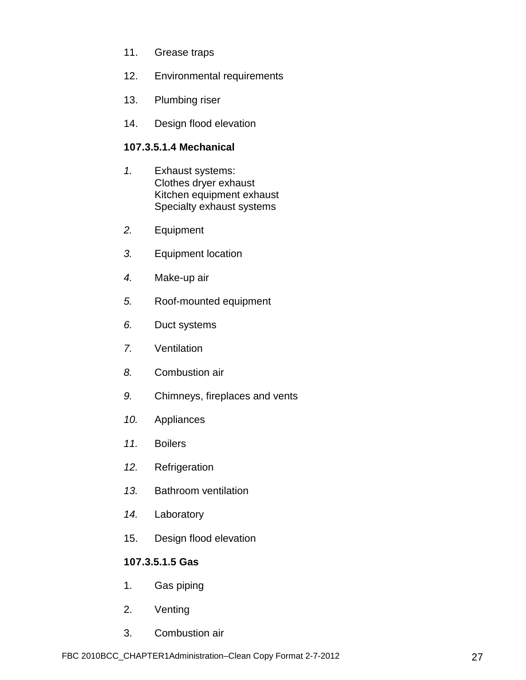- 11. Grease traps
- 12. Environmental requirements
- 13. Plumbing riser
- 14. Design flood elevation

# **107.3.5.1.4 Mechanical**

- *1.* Exhaust systems: Clothes dryer exhaust Kitchen equipment exhaust Specialty exhaust systems
- *2.* Equipment
- *3.* Equipment location
- *4.* Make-up air
- *5.* Roof-mounted equipment
- *6.* Duct systems
- *7.* Ventilation
- *8.* Combustion air
- *9.* Chimneys, fireplaces and vents
- *10.* Appliances
- *11.* Boilers
- *12.* Refrigeration
- *13.* Bathroom ventilation
- *14.* Laboratory
- 15. Design flood elevation

# **107.3.5.1.5 Gas**

- 1. Gas piping
- 2. Venting
- 3. Combustion air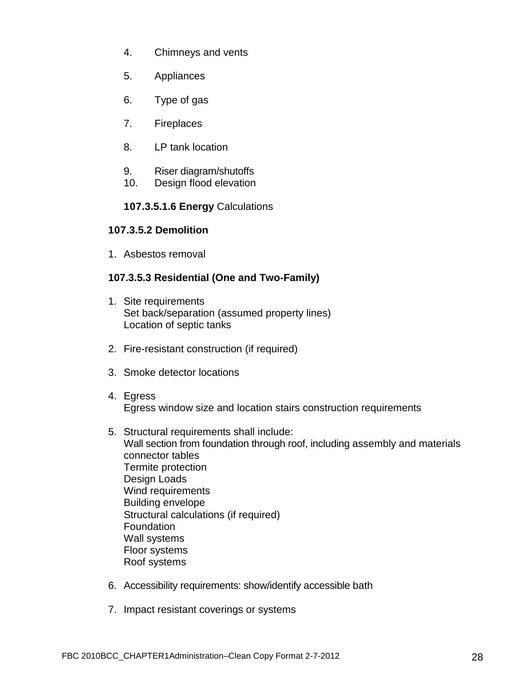- 4. Chimneys and vents
- 5. Appliances
- 6. Type of gas
- 7. Fireplaces
- 8. LP tank location
- 9. Riser diagram/shutoffs
- 10. Design flood elevation

## **107.3.5.1.6 Energy** Calculations

## **107.3.5.2 Demolition**

1. Asbestos removal

## **107.3.5.3 Residential (One and Two-Family)**

- 1. Site requirements Set back/separation (assumed property lines) Location of septic tanks
- 2. Fire-resistant construction (if required)
- 3. Smoke detector locations
- 4. Egress Egress window size and location stairs construction requirements
- 5. Structural requirements shall include: Wall section from foundation through roof, including assembly and materials connector tables Termite protection Design Loads Wind requirements Building envelope Structural calculations (if required) **Foundation** Wall systems Floor systems Roof systems
- 6. Accessibility requirements: show/identify accessible bath
- 7. Impact resistant coverings or systems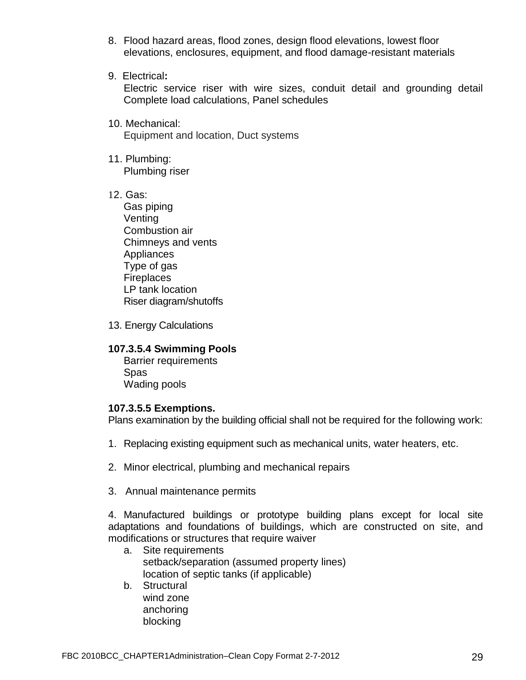- 8. Flood hazard areas, flood zones, design flood elevations, lowest floor elevations, enclosures, equipment, and flood damage-resistant materials
- 9. Electrical**:**

Electric service riser with wire sizes, conduit detail and grounding detail Complete load calculations, Panel schedules

- 10. Mechanical: Equipment and location, Duct systems
- 11. Plumbing: Plumbing riser

#### 12. Gas:

- Gas piping Venting Combustion air Chimneys and vents Appliances Type of gas **Fireplaces** LP tank location Riser diagram/shutoffs
- 13. Energy Calculations

## **107.3.5.4 Swimming Pools**

Barrier requirements Spas Wading pools

#### **107.3.5.5 Exemptions.**

Plans examination by the building official shall not be required for the following work:

- 1. Replacing existing equipment such as mechanical units, water heaters, etc.
- 2. Minor electrical, plumbing and mechanical repairs
- 3. Annual maintenance permits

4. Manufactured buildings or prototype building plans except for local site adaptations and foundations of buildings, which are constructed on site, and modifications or structures that require waiver

- a. Site requirements setback/separation (assumed property lines) location of septic tanks (if applicable)
- b. Structural wind zone anchoring blocking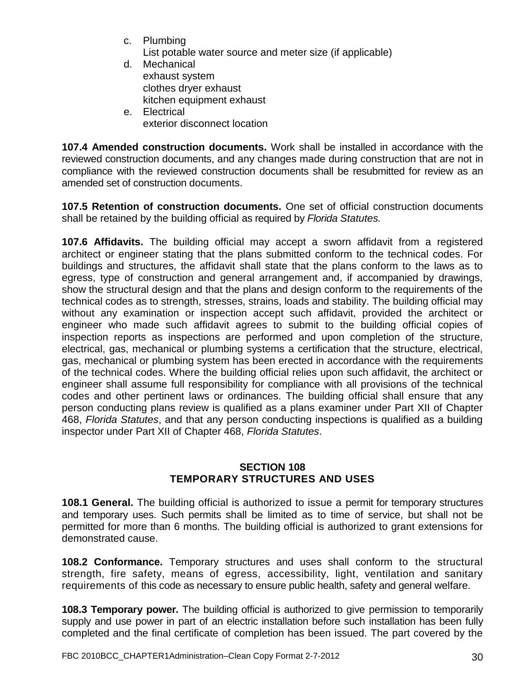- c. Plumbing
	- List potable water source and meter size (if applicable)
- d. Mechanical exhaust system clothes dryer exhaust kitchen equipment exhaust
- e. Electrical exterior disconnect location

**107.4 Amended construction documents.** Work shall be installed in accordance with the reviewed construction documents, and any changes made during construction that are not in compliance with the reviewed construction documents shall be resubmitted for review as an amended set of construction documents.

**107.5 Retention of construction documents.** One set of official construction documents shall be retained by the building official as required by *Florida Statutes.*

**107.6 Affidavits.** The building official may accept a sworn affidavit from a registered architect or engineer stating that the plans submitted conform to the technical codes. For buildings and structures, the affidavit shall state that the plans conform to the laws as to egress, type of construction and general arrangement and, if accompanied by drawings, show the structural design and that the plans and design conform to the requirements of the technical codes as to strength, stresses, strains, loads and stability. The building official may without any examination or inspection accept such affidavit, provided the architect or engineer who made such affidavit agrees to submit to the building official copies of inspection reports as inspections are performed and upon completion of the structure, electrical, gas, mechanical or plumbing systems a certification that the structure, electrical, gas, mechanical or plumbing system has been erected in accordance with the requirements of the technical codes. Where the building official relies upon such affidavit, the architect or engineer shall assume full responsibility for compliance with all provisions of the technical codes and other pertinent laws or ordinances. The building official shall ensure that any person conducting plans review is qualified as a plans examiner under Part XII of Chapter 468, *Florida Statutes*, and that any person conducting inspections is qualified as a building inspector under Part XII of Chapter 468, *Florida Statutes*.

## **SECTION 108 TEMPORARY STRUCTURES AND USES**

**108.1 General.** The building official is authorized to issue a permit for temporary structures and temporary uses. Such permits shall be limited as to time of service, but shall not be permitted for more than 6 months. The building official is authorized to grant extensions for demonstrated cause.

**108.2 Conformance.** Temporary structures and uses shall conform to the structural strength, fire safety, means of egress, accessibility, light, ventilation and sanitary requirements of this code as necessary to ensure public health, safety and general welfare.

**108.3 Temporary power.** The building official is authorized to give permission to temporarily supply and use power in part of an electric installation before such installation has been fully completed and the final certificate of completion has been issued. The part covered by the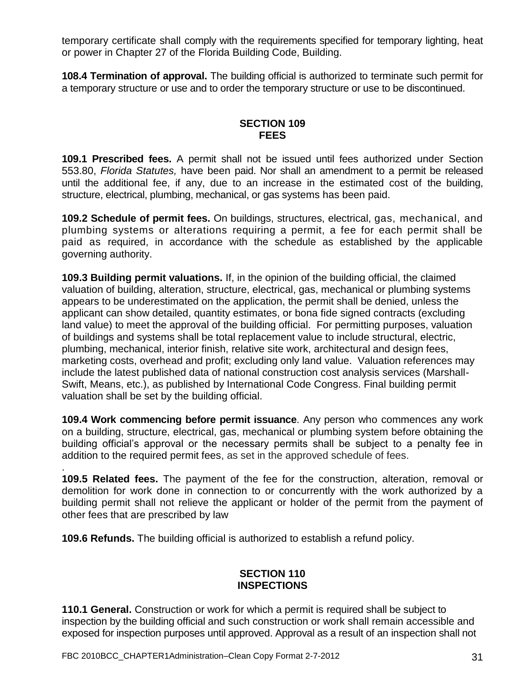temporary certificate shall comply with the requirements specified for temporary lighting, heat or power in Chapter 27 of the Florida Building Code, Building.

**108.4 Termination of approval.** The building official is authorized to terminate such permit for a temporary structure or use and to order the temporary structure or use to be discontinued.

## **SECTION 109 FEES**

**109.1 Prescribed fees.** A permit shall not be issued until fees authorized under Section 553.80, *Florida Statutes,* have been paid. Nor shall an amendment to a permit be released until the additional fee, if any, due to an increase in the estimated cost of the building, structure, electrical, plumbing, mechanical, or gas systems has been paid.

**109.2 Schedule of permit fees.** On buildings, structures, electrical, gas, mechanical, and plumbing systems or alterations requiring a permit, a fee for each permit shall be paid as required, in accordance with the schedule as established by the applicable governing authority.

**109.3 Building permit valuations.** If, in the opinion of the building official, the claimed valuation of building, alteration, structure, electrical, gas, mechanical or plumbing systems appears to be underestimated on the application, the permit shall be denied, unless the applicant can show detailed, quantity estimates, or bona fide signed contracts (excluding land value) to meet the approval of the building official. For permitting purposes, valuation of buildings and systems shall be total replacement value to include structural, electric, plumbing, mechanical, interior finish, relative site work, architectural and design fees, marketing costs, overhead and profit; excluding only land value. Valuation references may include the latest published data of national construction cost analysis services (Marshall-Swift, Means, etc.), as published by International Code Congress. Final building permit valuation shall be set by the building official.

**109.4 Work commencing before permit issuance**. Any person who commences any work on a building, structure, electrical, gas, mechanical or plumbing system before obtaining the building official's approval or the necessary permits shall be subject to a penalty fee in addition to the required permit fees, as set in the approved schedule of fees.

**109.5 Related fees.** The payment of the fee for the construction, alteration, removal or demolition for work done in connection to or concurrently with the work authorized by a building permit shall not relieve the applicant or holder of the permit from the payment of other fees that are prescribed by law

**109.6 Refunds.** The building official is authorized to establish a refund policy.

#### **SECTION 110 INSPECTIONS**

**110.1 General.** Construction or work for which a permit is required shall be subject to inspection by the building official and such construction or work shall remain accessible and exposed for inspection purposes until approved. Approval as a result of an inspection shall not

.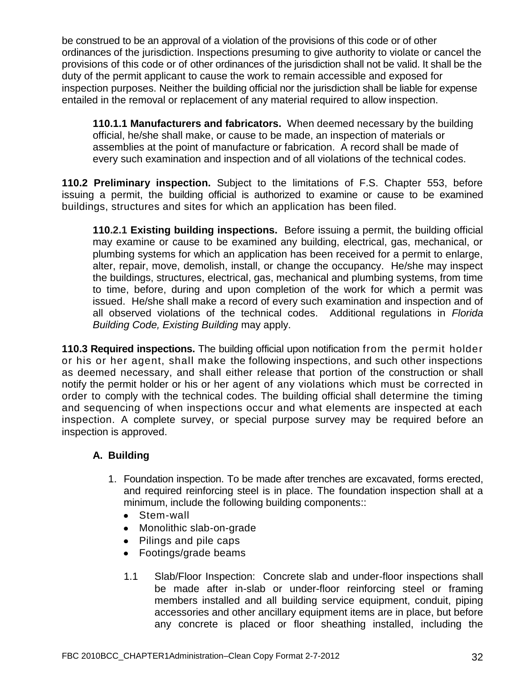be construed to be an approval of a violation of the provisions of this code or of other ordinances of the jurisdiction. Inspections presuming to give authority to violate or cancel the provisions of this code or of other ordinances of the jurisdiction shall not be valid. It shall be the duty of the permit applicant to cause the work to remain accessible and exposed for inspection purposes. Neither the building official nor the jurisdiction shall be liable for expense entailed in the removal or replacement of any material required to allow inspection.

**110.1.1 Manufacturers and fabricators.** When deemed necessary by the building official, he/she shall make, or cause to be made, an inspection of materials or assemblies at the point of manufacture or fabrication. A record shall be made of every such examination and inspection and of all violations of the technical codes.

**110.2 Preliminary inspection.** Subject to the limitations of F.S. Chapter 553, before issuing a permit, the building official is authorized to examine or cause to be examined buildings, structures and sites for which an application has been filed.

**110.2.1 Existing building inspections.** Before issuing a permit, the building official may examine or cause to be examined any building, electrical, gas, mechanical, or plumbing systems for which an application has been received for a permit to enlarge, alter, repair, move, demolish, install, or change the occupancy. He/she may inspect the buildings, structures, electrical, gas, mechanical and plumbing systems, from time to time, before, during and upon completion of the work for which a permit was issued. He/she shall make a record of every such examination and inspection and of all observed violations of the technical codes. Additional regulations in *Florida Building Code, Existing Building* may apply.

**110.3 Required inspections.** The building official upon notification from the permit holder or his or her agent, shall make the following inspections, and such other inspections as deemed necessary, and shall either release that portion of the construction or shall notify the permit holder or his or her agent of any violations which must be corrected in order to comply with the technical codes. The building official shall determine the timing and sequencing of when inspections occur and what elements are inspected at each inspection. A complete survey, or special purpose survey may be required before an inspection is approved.

## **A. Building**

- 1. Foundation inspection. To be made after trenches are excavated, forms erected, and required reinforcing steel is in place. The foundation inspection shall at a minimum, include the following building components::
	- Stem-wall
	- Monolithic slab-on-grade
	- Pilings and pile caps
	- Footings/grade beams
	- 1.1 Slab/Floor Inspection: Concrete slab and under-floor inspections shall be made after in-slab or under-floor reinforcing steel or framing members installed and all building service equipment, conduit, piping accessories and other ancillary equipment items are in place, but before any concrete is placed or floor sheathing installed, including the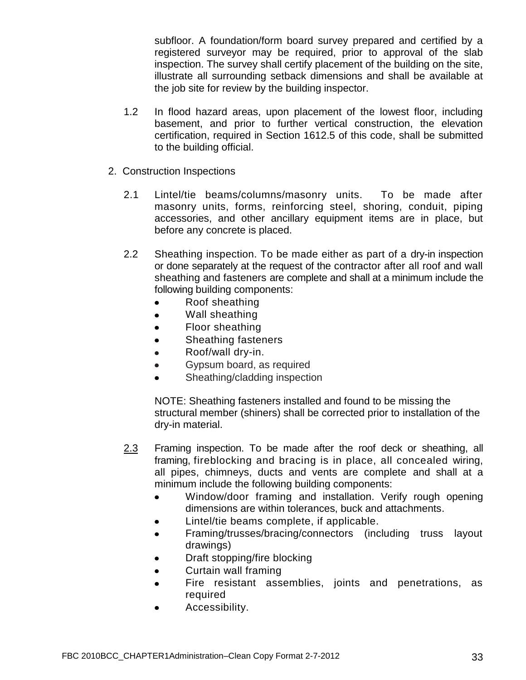subfloor. A foundation/form board survey prepared and certified by a registered surveyor may be required, prior to approval of the slab inspection. The survey shall certify placement of the building on the site, illustrate all surrounding setback dimensions and shall be available at the job site for review by the building inspector.

- 1.2 In flood hazard areas, upon placement of the lowest floor, including basement, and prior to further vertical construction, the elevation certification, required in Section 1612.5 of this code, shall be submitted to the building official.
- 2. Construction Inspections
	- 2.1 Lintel/tie beams/columns/masonry units. To be made after masonry units, forms, reinforcing steel, shoring, conduit, piping accessories, and other ancillary equipment items are in place, but before any concrete is placed.
	- 2.2 Sheathing inspection. To be made either as part of a dry-in inspection or done separately at the request of the contractor after all roof and wall sheathing and fasteners are complete and shall at a minimum include the following building components:
		- Roof sheathing
		- Wall sheathing  $\bullet$
		- Floor sheathing  $\bullet$
		- Sheathing fasteners  $\bullet$
		- Roof/wall dry-in.  $\bullet$
		- Gypsum board, as required  $\bullet$
		- $\bullet$ Sheathing/cladding inspection

NOTE: Sheathing fasteners installed and found to be missing the structural member (shiners) shall be corrected prior to installation of the dry-in material.

- 2.3 Framing inspection. To be made after the roof deck or sheathing, all framing, fireblocking and bracing is in place, all concealed wiring, all pipes, chimneys, ducts and vents are complete and shall at a minimum include the following building components:
	- Window/door framing and installation. Verify rough opening dimensions are within tolerances, buck and attachments.
	- Lintel/tie beams complete, if applicable.
	- Framing/trusses/bracing/connectors (including truss layout drawings)
	- Draft stopping/fire blocking
	- Curtain wall framing
	- Fire resistant assemblies, joints and penetrations, as required
	- Accessibility.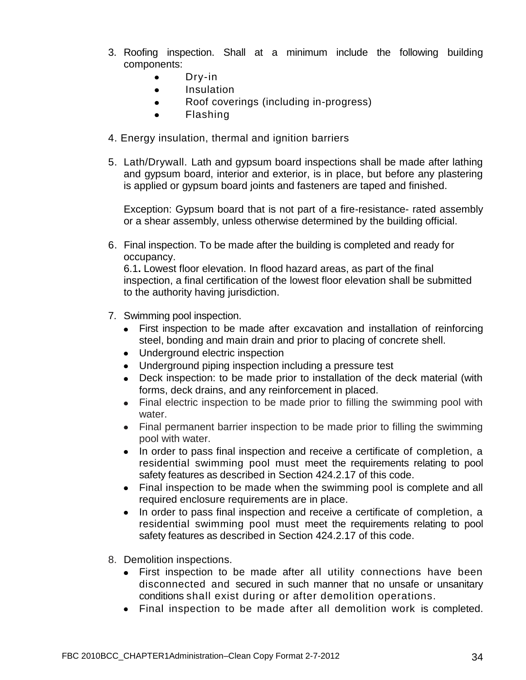- 3. Roofing inspection. Shall at a minimum include the following building components:
	- Dry-in
	- Insulation  $\bullet$
	- Roof coverings (including in-progress)  $\bullet$
	- Flashing  $\bullet$
- 4. Energy insulation, thermal and ignition barriers
- 5. Lath/Drywall. Lath and gypsum board inspections shall be made after lathing and gypsum board, interior and exterior, is in place, but before any plastering is applied or gypsum board joints and fasteners are taped and finished.

Exception: Gypsum board that is not part of a fire-resistance- rated assembly or a shear assembly, unless otherwise determined by the building official.

6. Final inspection. To be made after the building is completed and ready for occupancy.

6.1**.** Lowest floor elevation. In flood hazard areas, as part of the final inspection, a final certification of the lowest floor elevation shall be submitted to the authority having jurisdiction.

- 7. Swimming pool inspection.
	- First inspection to be made after excavation and installation of reinforcing steel, bonding and main drain and prior to placing of concrete shell.
	- Underground electric inspection
	- Underground piping inspection including a pressure test
	- Deck inspection: to be made prior to installation of the deck material (with forms, deck drains, and any reinforcement in placed.
	- Final electric inspection to be made prior to filling the swimming pool with water.
	- Final permanent barrier inspection to be made prior to filling the swimming pool with water.
	- In order to pass final inspection and receive a certificate of completion, a residential swimming pool must meet the requirements relating to pool safety features as described in Section 424.2.17 of this code.
	- Final inspection to be made when the swimming pool is complete and all  $\bullet$ required enclosure requirements are in place.
	- In order to pass final inspection and receive a certificate of completion, a  $\bullet$ residential swimming pool must meet the requirements relating to pool safety features as described in Section 424.2.17 of this code.
- 8. Demolition inspections.
	- First inspection to be made after all utility connections have been  $\bullet$ disconnected and secured in such manner that no unsafe or unsanitary conditions shall exist during or after demolition operations.
	- Final inspection to be made after all demolition work is completed.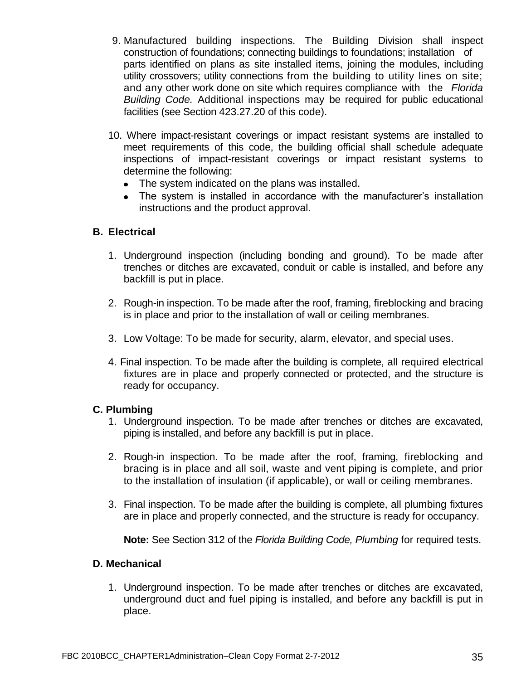- 9. Manufactured building inspections. The Building Division shall inspect construction of foundations; connecting buildings to foundations; installation of parts identified on plans as site installed items, joining the modules, including utility crossovers; utility connections from the building to utility lines on site; and any other work done on site which requires compliance with the *Florida Building Code.* Additional inspections may be required for public educational facilities (see Section 423.27.20 of this code).
- 10. Where impact-resistant coverings or impact resistant systems are installed to meet requirements of this code, the building official shall schedule adequate inspections of impact-resistant coverings or impact resistant systems to determine the following:
	- The system indicated on the plans was installed.
	- The system is installed in accordance with the manufacturer's installation instructions and the product approval.

## **B. Electrical**

- 1. Underground inspection (including bonding and ground). To be made after trenches or ditches are excavated, conduit or cable is installed, and before any backfill is put in place.
- 2. Rough-in inspection. To be made after the roof, framing, fireblocking and bracing is in place and prior to the installation of wall or ceiling membranes.
- 3. Low Voltage: To be made for security, alarm, elevator, and special uses.
- 4. Final inspection. To be made after the building is complete, all required electrical fixtures are in place and properly connected or protected, and the structure is ready for occupancy.

## **C. Plumbing**

- 1. Underground inspection. To be made after trenches or ditches are excavated, piping is installed, and before any backfill is put in place.
- 2. Rough-in inspection. To be made after the roof, framing, fireblocking and bracing is in place and all soil, waste and vent piping is complete, and prior to the installation of insulation (if applicable), or wall or ceiling membranes.
- 3. Final inspection. To be made after the building is complete, all plumbing fixtures are in place and properly connected, and the structure is ready for occupancy.

**Note:** See Section 312 of the *Florida Building Code, Plumbing* for required tests.

## **D. Mechanical**

1. Underground inspection. To be made after trenches or ditches are excavated, underground duct and fuel piping is installed, and before any backfill is put in place.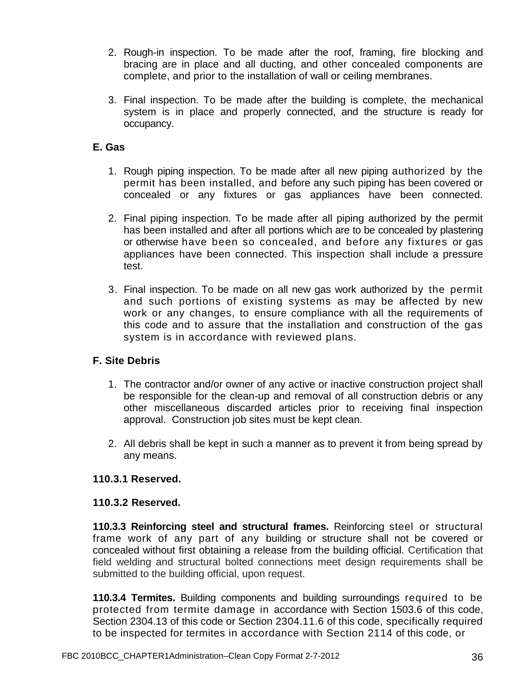- 2. Rough-in inspection. To be made after the roof, framing, fire blocking and bracing are in place and all ducting, and other concealed components are complete, and prior to the installation of wall or ceiling membranes.
- 3. Final inspection. To be made after the building is complete, the mechanical system is in place and properly connected, and the structure is ready for occupancy.

## **E. Gas**

- 1. Rough piping inspection. To be made after all new piping authorized by the permit has been installed, and before any such piping has been covered or concealed or any fixtures or gas appliances have been connected.
- 2. Final piping inspection. To be made after all piping authorized by the permit has been installed and after all portions which are to be concealed by plastering or otherwise have been so concealed, and before any fixtures or gas appliances have been connected. This inspection shall include a pressure test.
- 3. Final inspection. To be made on all new gas work authorized by the permit and such portions of existing systems as may be affected by new work or any changes, to ensure compliance with all the requirements of this code and to assure that the installation and construction of the gas system is in accordance with reviewed plans.

## **F. Site Debris**

- 1. The contractor and/or owner of any active or inactive construction project shall be responsible for the clean-up and removal of all construction debris or any other miscellaneous discarded articles prior to receiving final inspection approval. Construction job sites must be kept clean.
- 2. All debris shall be kept in such a manner as to prevent it from being spread by any means.

## **110.3.1 Reserved.**

## **110.3.2 Reserved.**

**110.3.3 Reinforcing steel and structural frames.** Reinforcing steel or structural frame work of any part of any building or structure shall not be covered or concealed without first obtaining a release from the building official. Certification that field welding and structural bolted connections meet design requirements shall be submitted to the building official, upon request.

**110.3.4 Termites.** Building components and building surroundings required to be protected from termite damage in accordance with Section 1503.6 of this code, Section 2304.13 of this code or Section 2304.11.6 of this code, specifically required to be inspected for termites in accordance with Section 2114 of this code, or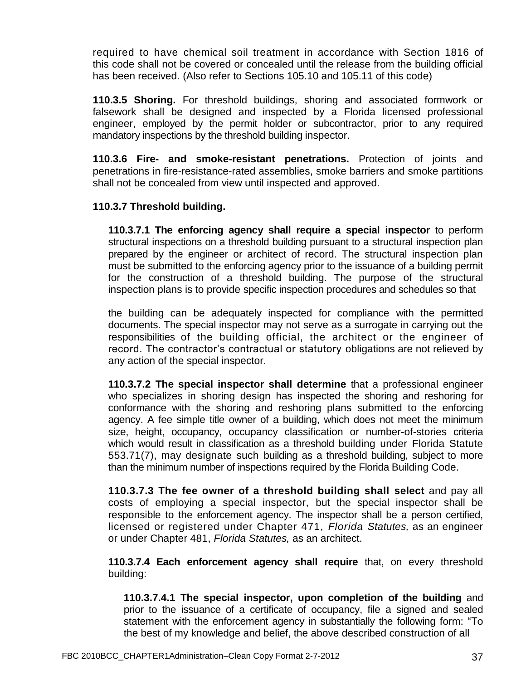required to have chemical soil treatment in accordance with Section 1816 of this code shall not be covered or concealed until the release from the building official has been received. (Also refer to Sections 105.10 and 105.11 of this code)

**110.3.5 Shoring.** For threshold buildings, shoring and associated formwork or falsework shall be designed and inspected by a Florida licensed professional engineer, employed by the permit holder or subcontractor, prior to any required mandatory inspections by the threshold building inspector.

**110.3.6 Fire- and smoke-resistant penetrations.** Protection of joints and penetrations in fire-resistance-rated assemblies, smoke barriers and smoke partitions shall not be concealed from view until inspected and approved.

## **110.3.7 Threshold building.**

**110.3.7.1 The enforcing agency shall require a special inspector** to perform structural inspections on a threshold building pursuant to a structural inspection plan prepared by the engineer or architect of record. The structural inspection plan must be submitted to the enforcing agency prior to the issuance of a building permit for the construction of a threshold building. The purpose of the structural inspection plans is to provide specific inspection procedures and schedules so that

the building can be adequately inspected for compliance with the permitted documents. The special inspector may not serve as a surrogate in carrying out the responsibilities of the building official, the architect or the engineer of record. The contractor's contractual or statutory obligations are not relieved by any action of the special inspector.

**110.3.7.2 The special inspector shall determine** that a professional engineer who specializes in shoring design has inspected the shoring and reshoring for conformance with the shoring and reshoring plans submitted to the enforcing agency. A fee simple title owner of a building, which does not meet the minimum size, height, occupancy, occupancy classification or number-of-stories criteria which would result in classification as a threshold building under Florida Statute 553.71(7), may designate such building as a threshold building, subject to more than the minimum number of inspections required by the Florida Building Code.

**110.3.7.3 The fee owner of a threshold building shall select** and pay all costs of employing a special inspector, but the special inspector shall be responsible to the enforcement agency. The inspector shall be a person certified, licensed or registered under Chapter 471, *Florida Statutes,* as an engineer or under Chapter 481, *Florida Statutes,* as an architect.

**110.3.7.4 Each enforcement agency shall require** that, on every threshold building:

**110.3.7.4.1 The special inspector, upon completion of the building** and prior to the issuance of a certificate of occupancy, file a signed and sealed statement with the enforcement agency in substantially the following form: "To the best of my knowledge and belief, the above described construction of all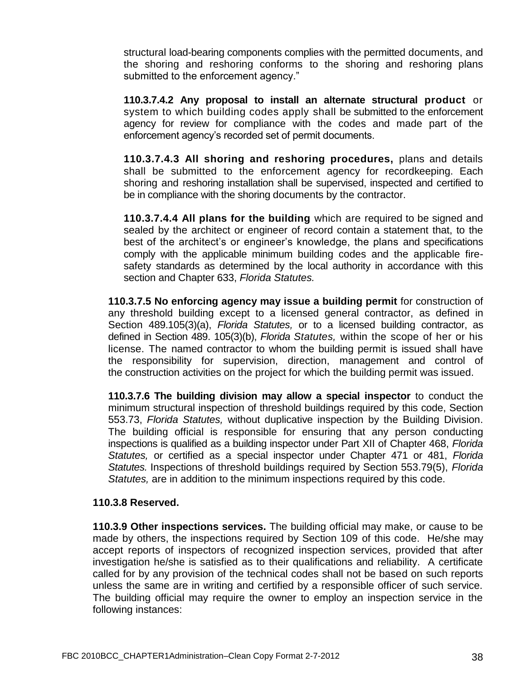structural load-bearing components complies with the permitted documents, and the shoring and reshoring conforms to the shoring and reshoring plans submitted to the enforcement agency."

**110.3.7.4.2 Any proposal to install an alternate structural product** or system to which building codes apply shall be submitted to the enforcement agency for review for compliance with the codes and made part of the enforcement agency's recorded set of permit documents.

**110.3.7.4.3 All shoring and reshoring procedures,** plans and details shall be submitted to the enforcement agency for recordkeeping. Each shoring and reshoring installation shall be supervised, inspected and certified to be in compliance with the shoring documents by the contractor.

**110.3.7.4.4 All plans for the building** which are required to be signed and sealed by the architect or engineer of record contain a statement that, to the best of the architect's or engineer's knowledge, the plans and specifications comply with the applicable minimum building codes and the applicable firesafety standards as determined by the local authority in accordance with this section and Chapter 633, *Florida Statutes.*

**110.3.7.5 No enforcing agency may issue a building permit** for construction of any threshold building except to a licensed general contractor, as defined in Section 489.105(3)(a), *Florida Statutes,* or to a licensed building contractor, as defined in Section 489. 105(3)(b), *Florida Statutes,* within the scope of her or his license. The named contractor to whom the building permit is issued shall have the responsibility for supervision, direction, management and control of the construction activities on the project for which the building permit was issued.

**110.3.7.6 The building division may allow a special inspector** to conduct the minimum structural inspection of threshold buildings required by this code, Section 553.73, *Florida Statutes,* without duplicative inspection by the Building Division. The building official is responsible for ensuring that any person conducting inspections is qualified as a building inspector under Part XII of Chapter 468, *Florida Statutes,* or certified as a special inspector under Chapter 471 or 481, *Florida Statutes.* Inspections of threshold buildings required by Section 553.79(5), *Florida Statutes,* are in addition to the minimum inspections required by this code.

## **110.3.8 Reserved.**

**110.3.9 Other inspections services.** The building official may make, or cause to be made by others, the inspections required by Section 109 of this code. He/she may accept reports of inspectors of recognized inspection services, provided that after investigation he/she is satisfied as to their qualifications and reliability. A certificate called for by any provision of the technical codes shall not be based on such reports unless the same are in writing and certified by a responsible officer of such service. The building official may require the owner to employ an inspection service in the following instances: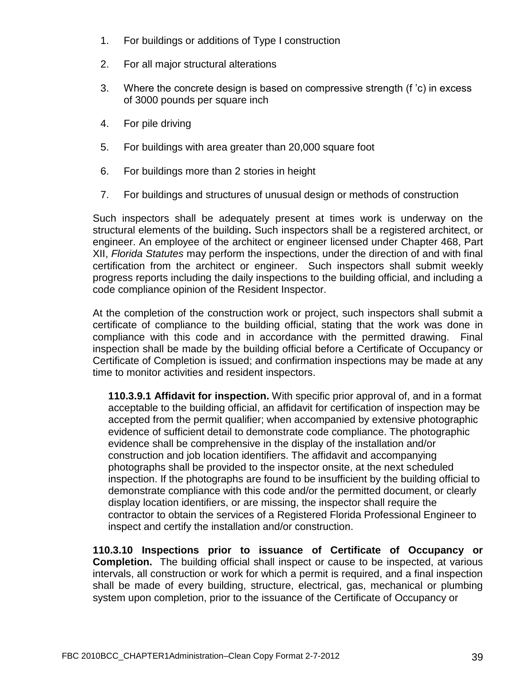- 1. For buildings or additions of Type I construction
- 2. For all major structural alterations
- 3. Where the concrete design is based on compressive strength (f 'c) in excess of 3000 pounds per square inch
- 4. For pile driving
- 5. For buildings with area greater than 20,000 square foot
- 6. For buildings more than 2 stories in height
- 7. For buildings and structures of unusual design or methods of construction

Such inspectors shall be adequately present at times work is underway on the structural elements of the building**.** Such inspectors shall be a registered architect, or engineer. An employee of the architect or engineer licensed under Chapter 468, Part XII, *Florida Statutes* may perform the inspections, under the direction of and with final certification from the architect or engineer. Such inspectors shall submit weekly progress reports including the daily inspections to the building official, and including a code compliance opinion of the Resident Inspector.

At the completion of the construction work or project, such inspectors shall submit a certificate of compliance to the building official, stating that the work was done in compliance with this code and in accordance with the permitted drawing. Final inspection shall be made by the building official before a Certificate of Occupancy or Certificate of Completion is issued; and confirmation inspections may be made at any time to monitor activities and resident inspectors.

**110.3.9.1 Affidavit for inspection.** With specific prior approval of, and in a format acceptable to the building official, an affidavit for certification of inspection may be accepted from the permit qualifier; when accompanied by extensive photographic evidence of sufficient detail to demonstrate code compliance. The photographic evidence shall be comprehensive in the display of the installation and/or construction and job location identifiers. The affidavit and accompanying photographs shall be provided to the inspector onsite, at the next scheduled inspection. If the photographs are found to be insufficient by the building official to demonstrate compliance with this code and/or the permitted document, or clearly display location identifiers, or are missing, the inspector shall require the contractor to obtain the services of a Registered Florida Professional Engineer to inspect and certify the installation and/or construction.

**110.3.10 Inspections prior to issuance of Certificate of Occupancy or Completion.** The building official shall inspect or cause to be inspected, at various intervals, all construction or work for which a permit is required, and a final inspection shall be made of every building, structure, electrical, gas, mechanical or plumbing system upon completion, prior to the issuance of the Certificate of Occupancy or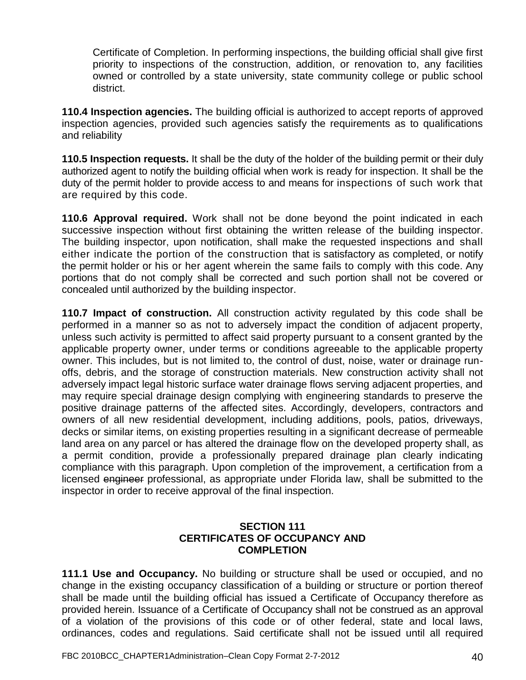Certificate of Completion. In performing inspections, the building official shall give first priority to inspections of the construction, addition, or renovation to, any facilities owned or controlled by a state university, state community college or public school district.

**110.4 Inspection agencies.** The building official is authorized to accept reports of approved inspection agencies, provided such agencies satisfy the requirements as to qualifications and reliability

**110.5 Inspection requests.** It shall be the duty of the holder of the building permit or their duly authorized agent to notify the building official when work is ready for inspection. It shall be the duty of the permit holder to provide access to and means for inspections of such work that are required by this code.

**110.6 Approval required.** Work shall not be done beyond the point indicated in each successive inspection without first obtaining the written release of the building inspector. The building inspector, upon notification, shall make the requested inspections and shall either indicate the portion of the construction that is satisfactory as completed, or notify the permit holder or his or her agent wherein the same fails to comply with this code. Any portions that do not comply shall be corrected and such portion shall not be covered or concealed until authorized by the building inspector.

**110.7 Impact of construction.** All construction activity regulated by this code shall be performed in a manner so as not to adversely impact the condition of adjacent property, unless such activity is permitted to affect said property pursuant to a consent granted by the applicable property owner, under terms or conditions agreeable to the applicable property owner. This includes, but is not limited to, the control of dust, noise, water or drainage runoffs, debris, and the storage of construction materials. New construction activity shall not adversely impact legal historic surface water drainage flows serving adjacent properties, and may require special drainage design complying with engineering standards to preserve the positive drainage patterns of the affected sites. Accordingly, developers, contractors and owners of all new residential development, including additions, pools, patios, driveways, decks or similar items, on existing properties resulting in a significant decrease of permeable land area on any parcel or has altered the drainage flow on the developed property shall, as a permit condition, provide a professionally prepared drainage plan clearly indicating compliance with this paragraph. Upon completion of the improvement, a certification from a licensed engineer professional, as appropriate under Florida law, shall be submitted to the inspector in order to receive approval of the final inspection.

## **SECTION 111 CERTIFICATES OF OCCUPANCY AND COMPLETION**

**111.1 Use and Occupancy.** No building or structure shall be used or occupied, and no change in the existing occupancy classification of a building or structure or portion thereof shall be made until the building official has issued a Certificate of Occupancy therefore as provided herein. Issuance of a Certificate of Occupancy shall not be construed as an approval of a violation of the provisions of this code or of other federal, state and local laws, ordinances, codes and regulations. Said certificate shall not be issued until all required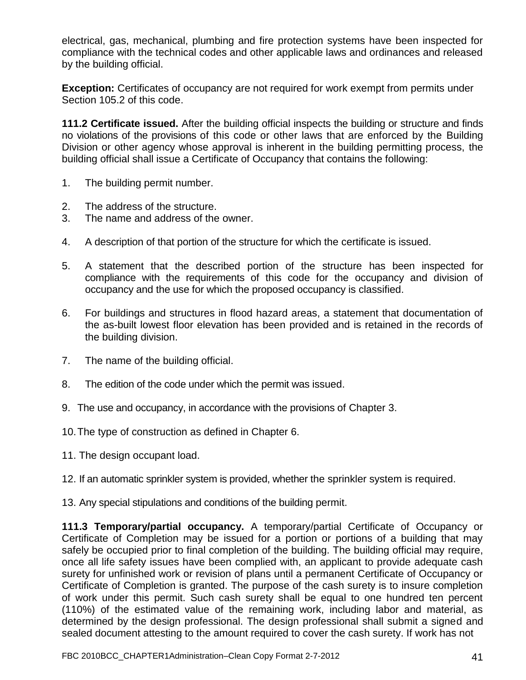electrical, gas, mechanical, plumbing and fire protection systems have been inspected for compliance with the technical codes and other applicable laws and ordinances and released by the building official.

**Exception:** Certificates of occupancy are not required for work exempt from permits under Section 105.2 of this code.

**111.2 Certificate issued.** After the building official inspects the building or structure and finds no violations of the provisions of this code or other laws that are enforced by the Building Division or other agency whose approval is inherent in the building permitting process, the building official shall issue a Certificate of Occupancy that contains the following:

- 1. The building permit number.
- 2. The address of the structure.
- 3. The name and address of the owner.
- 4. A description of that portion of the structure for which the certificate is issued.
- 5. A statement that the described portion of the structure has been inspected for compliance with the requirements of this code for the occupancy and division of occupancy and the use for which the proposed occupancy is classified.
- 6. For buildings and structures in flood hazard areas, a statement that documentation of the as-built lowest floor elevation has been provided and is retained in the records of the building division.
- 7. The name of the building official.
- 8. The edition of the code under which the permit was issued.
- 9. The use and occupancy, in accordance with the provisions of Chapter 3.
- 10.The type of construction as defined in Chapter 6.
- 11. The design occupant load.
- 12. If an automatic sprinkler system is provided, whether the sprinkler system is required.
- 13. Any special stipulations and conditions of the building permit.

**111.3 Temporary/partial occupancy.** A temporary/partial Certificate of Occupancy or Certificate of Completion may be issued for a portion or portions of a building that may safely be occupied prior to final completion of the building. The building official may require, once all life safety issues have been complied with, an applicant to provide adequate cash surety for unfinished work or revision of plans until a permanent Certificate of Occupancy or Certificate of Completion is granted. The purpose of the cash surety is to insure completion of work under this permit. Such cash surety shall be equal to one hundred ten percent (110%) of the estimated value of the remaining work, including labor and material, as determined by the design professional. The design professional shall submit a signed and sealed document attesting to the amount required to cover the cash surety. If work has not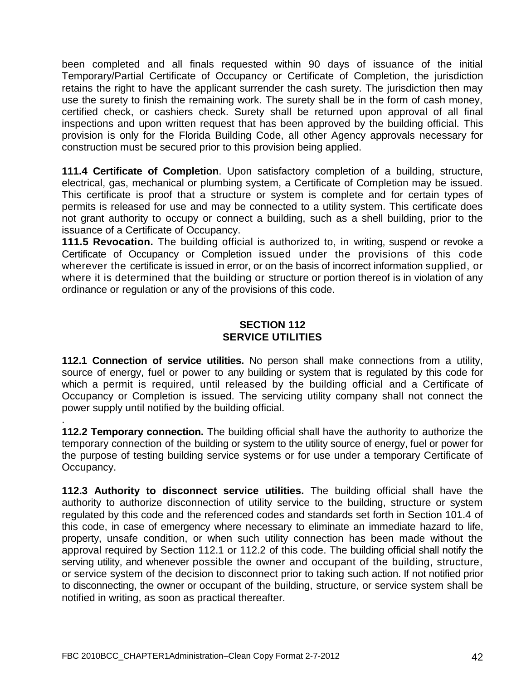been completed and all finals requested within 90 days of issuance of the initial Temporary/Partial Certificate of Occupancy or Certificate of Completion, the jurisdiction retains the right to have the applicant surrender the cash surety. The jurisdiction then may use the surety to finish the remaining work. The surety shall be in the form of cash money, certified check, or cashiers check. Surety shall be returned upon approval of all final inspections and upon written request that has been approved by the building official. This provision is only for the Florida Building Code, all other Agency approvals necessary for construction must be secured prior to this provision being applied.

**111.4 Certificate of Completion**. Upon satisfactory completion of a building, structure, electrical, gas, mechanical or plumbing system, a Certificate of Completion may be issued. This certificate is proof that a structure or system is complete and for certain types of permits is released for use and may be connected to a utility system. This certificate does not grant authority to occupy or connect a building, such as a shell building, prior to the issuance of a Certificate of Occupancy.

**111.5 Revocation.** The building official is authorized to, in writing, suspend or revoke a Certificate of Occupancy or Completion issued under the provisions of this code wherever the certificate is issued in error, or on the basis of incorrect information supplied, or where it is determined that the building or structure or portion thereof is in violation of any ordinance or regulation or any of the provisions of this code.

## **SECTION 112 SERVICE UTILITIES**

**112.1 Connection of service utilities.** No person shall make connections from a utility, source of energy, fuel or power to any building or system that is regulated by this code for which a permit is required, until released by the building official and a Certificate of Occupancy or Completion is issued. The servicing utility company shall not connect the power supply until notified by the building official.

**112.2 Temporary connection.** The building official shall have the authority to authorize the temporary connection of the building or system to the utility source of energy, fuel or power for the purpose of testing building service systems or for use under a temporary Certificate of Occupancy.

**112.3 Authority to disconnect service utilities.** The building official shall have the authority to authorize disconnection of utility service to the building, structure or system regulated by this code and the referenced codes and standards set forth in Section 101.4 of this code, in case of emergency where necessary to eliminate an immediate hazard to life, property, unsafe condition, or when such utility connection has been made without the approval required by Section 112.1 or 112.2 of this code. The building official shall notify the serving utility, and whenever possible the owner and occupant of the building, structure, or service system of the decision to disconnect prior to taking such action. If not notified prior to disconnecting, the owner or occupant of the building, structure, or service system shall be notified in writing, as soon as practical thereafter.

.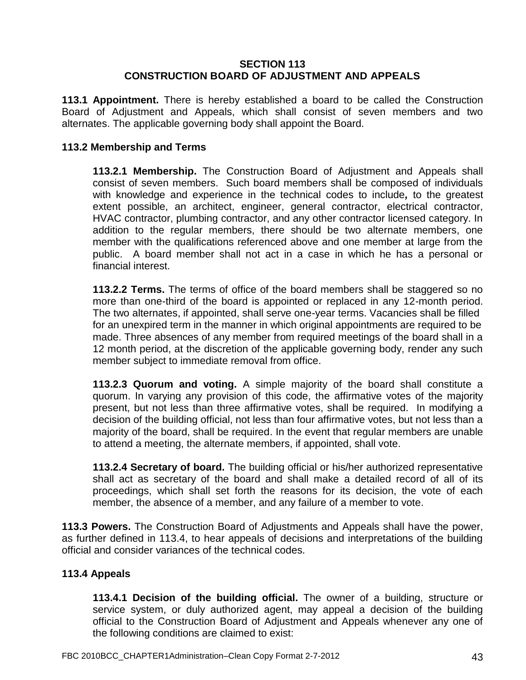## **SECTION 113 CONSTRUCTION BOARD OF ADJUSTMENT AND APPEALS**

**113.1 Appointment.** There is hereby established a board to be called the Construction Board of Adjustment and Appeals, which shall consist of seven members and two alternates. The applicable governing body shall appoint the Board.

#### **113.2 Membership and Terms**

**113.2.1 Membership.** The Construction Board of Adjustment and Appeals shall consist of seven members. Such board members shall be composed of individuals with knowledge and experience in the technical codes to include*,* to the greatest extent possible, an architect, engineer, general contractor, electrical contractor, HVAC contractor, plumbing contractor, and any other contractor licensed category. In addition to the regular members, there should be two alternate members, one member with the qualifications referenced above and one member at large from the public. A board member shall not act in a case in which he has a personal or financial interest.

**113.2.2 Terms.** The terms of office of the board members shall be staggered so no more than one-third of the board is appointed or replaced in any 12-month period. The two alternates, if appointed, shall serve one-year terms. Vacancies shall be filled for an unexpired term in the manner in which original appointments are required to be made. Three absences of any member from required meetings of the board shall in a 12 month period, at the discretion of the applicable governing body, render any such member subject to immediate removal from office.

**113.2.3 Quorum and voting.** A simple majority of the board shall constitute a quorum. In varying any provision of this code, the affirmative votes of the majority present, but not less than three affirmative votes, shall be required. In modifying a decision of the building official, not less than four affirmative votes, but not less than a majority of the board, shall be required. In the event that regular members are unable to attend a meeting, the alternate members, if appointed, shall vote.

**113.2.4 Secretary of board.** The building official or his/her authorized representative shall act as secretary of the board and shall make a detailed record of all of its proceedings, which shall set forth the reasons for its decision, the vote of each member, the absence of a member, and any failure of a member to vote.

**113.3 Powers.** The Construction Board of Adjustments and Appeals shall have the power, as further defined in 113.4, to hear appeals of decisions and interpretations of the building official and consider variances of the technical codes.

#### **113.4 Appeals**

**113.4.1 Decision of the building official.** The owner of a building, structure or service system, or duly authorized agent, may appeal a decision of the building official to the Construction Board of Adjustment and Appeals whenever any one of the following conditions are claimed to exist: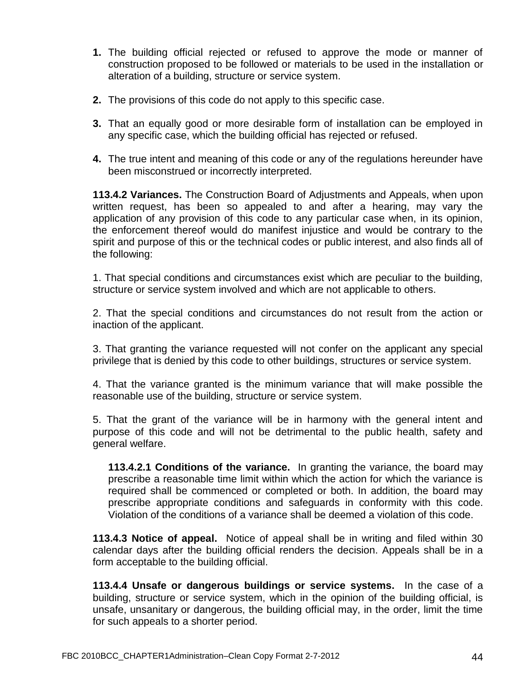- **1.** The building official rejected or refused to approve the mode or manner of construction proposed to be followed or materials to be used in the installation or alteration of a building, structure or service system.
- **2.** The provisions of this code do not apply to this specific case.
- **3.** That an equally good or more desirable form of installation can be employed in any specific case, which the building official has rejected or refused.
- **4.** The true intent and meaning of this code or any of the regulations hereunder have been misconstrued or incorrectly interpreted.

**113.4.2 Variances.** The Construction Board of Adjustments and Appeals, when upon written request, has been so appealed to and after a hearing, may vary the application of any provision of this code to any particular case when, in its opinion, the enforcement thereof would do manifest injustice and would be contrary to the spirit and purpose of this or the technical codes or public interest, and also finds all of the following:

1. That special conditions and circumstances exist which are peculiar to the building, structure or service system involved and which are not applicable to others.

2. That the special conditions and circumstances do not result from the action or inaction of the applicant.

3. That granting the variance requested will not confer on the applicant any special privilege that is denied by this code to other buildings, structures or service system.

4. That the variance granted is the minimum variance that will make possible the reasonable use of the building, structure or service system.

5. That the grant of the variance will be in harmony with the general intent and purpose of this code and will not be detrimental to the public health, safety and general welfare.

**113.4.2.1 Conditions of the variance.** In granting the variance, the board may prescribe a reasonable time limit within which the action for which the variance is required shall be commenced or completed or both. In addition, the board may prescribe appropriate conditions and safeguards in conformity with this code. Violation of the conditions of a variance shall be deemed a violation of this code.

**113.4.3 Notice of appeal.** Notice of appeal shall be in writing and filed within 30 calendar days after the building official renders the decision. Appeals shall be in a form acceptable to the building official.

**113.4.4 Unsafe or dangerous buildings or service systems.** In the case of a building, structure or service system, which in the opinion of the building official, is unsafe, unsanitary or dangerous, the building official may, in the order, limit the time for such appeals to a shorter period.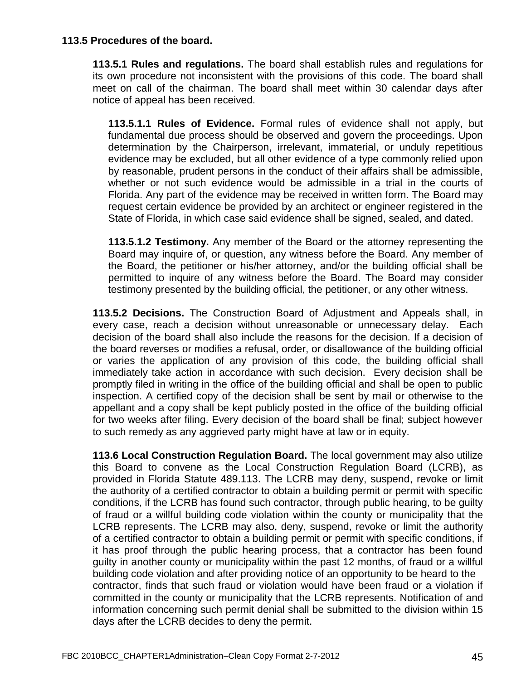#### **113.5 Procedures of the board.**

**113.5.1 Rules and regulations.** The board shall establish rules and regulations for its own procedure not inconsistent with the provisions of this code. The board shall meet on call of the chairman. The board shall meet within 30 calendar days after notice of appeal has been received.

**113.5.1.1 Rules of Evidence.** Formal rules of evidence shall not apply, but fundamental due process should be observed and govern the proceedings. Upon determination by the Chairperson, irrelevant, immaterial, or unduly repetitious evidence may be excluded, but all other evidence of a type commonly relied upon by reasonable, prudent persons in the conduct of their affairs shall be admissible, whether or not such evidence would be admissible in a trial in the courts of Florida. Any part of the evidence may be received in written form. The Board may request certain evidence be provided by an architect or engineer registered in the State of Florida, in which case said evidence shall be signed, sealed, and dated.

**113.5.1.2 Testimony.** Any member of the Board or the attorney representing the Board may inquire of, or question, any witness before the Board. Any member of the Board, the petitioner or his/her attorney, and/or the building official shall be permitted to inquire of any witness before the Board. The Board may consider testimony presented by the building official, the petitioner, or any other witness.

**113.5.2 Decisions.** The Construction Board of Adjustment and Appeals shall, in every case, reach a decision without unreasonable or unnecessary delay. Each decision of the board shall also include the reasons for the decision. If a decision of the board reverses or modifies a refusal, order, or disallowance of the building official or varies the application of any provision of this code, the building official shall immediately take action in accordance with such decision. Every decision shall be promptly filed in writing in the office of the building official and shall be open to public inspection. A certified copy of the decision shall be sent by mail or otherwise to the appellant and a copy shall be kept publicly posted in the office of the building official for two weeks after filing. Every decision of the board shall be final; subject however to such remedy as any aggrieved party might have at law or in equity.

**113.6 Local Construction Regulation Board.** The local government may also utilize this Board to convene as the Local Construction Regulation Board (LCRB), as provided in Florida Statute 489.113. The LCRB may deny, suspend, revoke or limit the authority of a certified contractor to obtain a building permit or permit with specific conditions, if the LCRB has found such contractor, through public hearing, to be guilty of fraud or a willful building code violation within the county or municipality that the LCRB represents. The LCRB may also, deny, suspend, revoke or limit the authority of a certified contractor to obtain a building permit or permit with specific conditions, if it has proof through the public hearing process, that a contractor has been found guilty in another county or municipality within the past 12 months, of fraud or a willful building code violation and after providing notice of an opportunity to be heard to the contractor, finds that such fraud or violation would have been fraud or a violation if committed in the county or municipality that the LCRB represents. Notification of and information concerning such permit denial shall be submitted to the division within 15 days after the LCRB decides to deny the permit.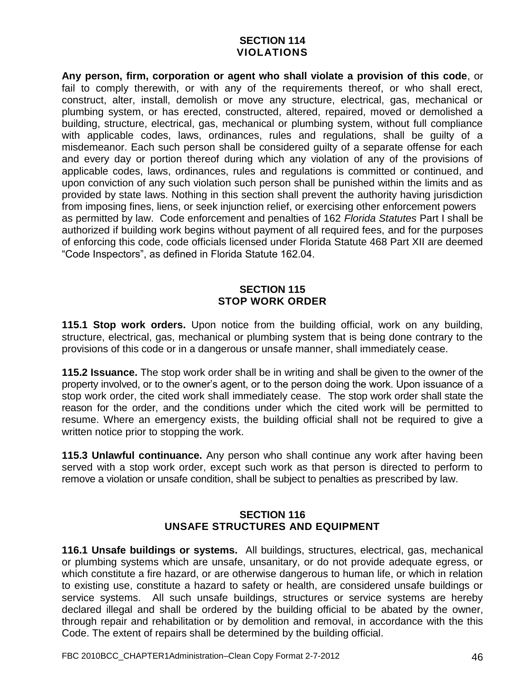#### **SECTION 114 VIOLATIONS**

**Any person, firm, corporation or agent who shall violate a provision of this code**, or fail to comply therewith, or with any of the requirements thereof, or who shall erect, construct, alter, install, demolish or move any structure, electrical, gas, mechanical or plumbing system, or has erected, constructed, altered, repaired, moved or demolished a building, structure, electrical, gas, mechanical or plumbing system, without full compliance with applicable codes, laws, ordinances, rules and regulations, shall be guilty of a misdemeanor. Each such person shall be considered guilty of a separate offense for each and every day or portion thereof during which any violation of any of the provisions of applicable codes, laws, ordinances, rules and regulations is committed or continued, and upon conviction of any such violation such person shall be punished within the limits and as provided by state laws. Nothing in this section shall prevent the authority having jurisdiction from imposing fines, liens, or seek injunction relief, or exercising other enforcement powers as permitted by law. Code enforcement and penalties of 162 *Florida Statutes* Part I shall be authorized if building work begins without payment of all required fees, and for the purposes of enforcing this code, code officials licensed under Florida Statute 468 Part XII are deemed "Code Inspectors", as defined in Florida Statute 162.04.

## **SECTION 115 STOP WORK ORDER**

**115.1 Stop work orders.** Upon notice from the building official, work on any building, structure, electrical, gas, mechanical or plumbing system that is being done contrary to the provisions of this code or in a dangerous or unsafe manner, shall immediately cease.

**115.2 Issuance.** The stop work order shall be in writing and shall be given to the owner of the property involved, or to the owner's agent, or to the person doing the work. Upon issuance of a stop work order, the cited work shall immediately cease. The stop work order shall state the reason for the order, and the conditions under which the cited work will be permitted to resume. Where an emergency exists, the building official shall not be required to give a written notice prior to stopping the work.

**115.3 Unlawful continuance.** Any person who shall continue any work after having been served with a stop work order, except such work as that person is directed to perform to remove a violation or unsafe condition, shall be subject to penalties as prescribed by law.

## **SECTION 116 UNSAFE STRUCTURES AND EQUIPMENT**

**116.1 Unsafe buildings or systems.** All buildings, structures, electrical, gas, mechanical or plumbing systems which are unsafe, unsanitary, or do not provide adequate egress, or which constitute a fire hazard, or are otherwise dangerous to human life, or which in relation to existing use, constitute a hazard to safety or health, are considered unsafe buildings or service systems. All such unsafe buildings, structures or service systems are hereby declared illegal and shall be ordered by the building official to be abated by the owner, through repair and rehabilitation or by demolition and removal, in accordance with the this Code. The extent of repairs shall be determined by the building official.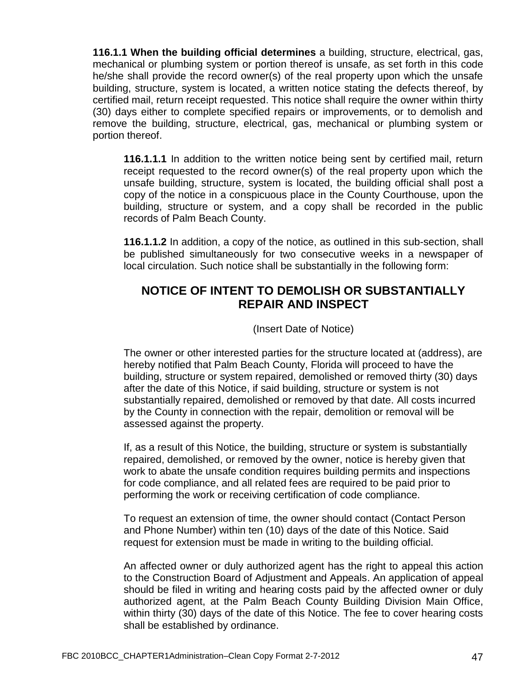**116.1.1 When the building official determines** a building, structure, electrical, gas, mechanical or plumbing system or portion thereof is unsafe, as set forth in this code he/she shall provide the record owner(s) of the real property upon which the unsafe building, structure, system is located, a written notice stating the defects thereof, by certified mail, return receipt requested. This notice shall require the owner within thirty (30) days either to complete specified repairs or improvements, or to demolish and remove the building, structure, electrical, gas, mechanical or plumbing system or portion thereof.

**116.1.1.1** In addition to the written notice being sent by certified mail, return receipt requested to the record owner(s) of the real property upon which the unsafe building, structure, system is located, the building official shall post a copy of the notice in a conspicuous place in the County Courthouse, upon the building, structure or system, and a copy shall be recorded in the public records of Palm Beach County.

**116.1.1.2** In addition, a copy of the notice, as outlined in this sub-section, shall be published simultaneously for two consecutive weeks in a newspaper of local circulation. Such notice shall be substantially in the following form:

# **NOTICE OF INTENT TO DEMOLISH OR SUBSTANTIALLY REPAIR AND INSPECT**

(Insert Date of Notice)

The owner or other interested parties for the structure located at (address), are hereby notified that Palm Beach County, Florida will proceed to have the building, structure or system repaired, demolished or removed thirty (30) days after the date of this Notice, if said building, structure or system is not substantially repaired, demolished or removed by that date. All costs incurred by the County in connection with the repair, demolition or removal will be assessed against the property.

If, as a result of this Notice, the building, structure or system is substantially repaired, demolished, or removed by the owner, notice is hereby given that work to abate the unsafe condition requires building permits and inspections for code compliance, and all related fees are required to be paid prior to performing the work or receiving certification of code compliance.

To request an extension of time, the owner should contact (Contact Person and Phone Number) within ten (10) days of the date of this Notice. Said request for extension must be made in writing to the building official.

An affected owner or duly authorized agent has the right to appeal this action to the Construction Board of Adjustment and Appeals. An application of appeal should be filed in writing and hearing costs paid by the affected owner or duly authorized agent, at the Palm Beach County Building Division Main Office, within thirty (30) days of the date of this Notice. The fee to cover hearing costs shall be established by ordinance.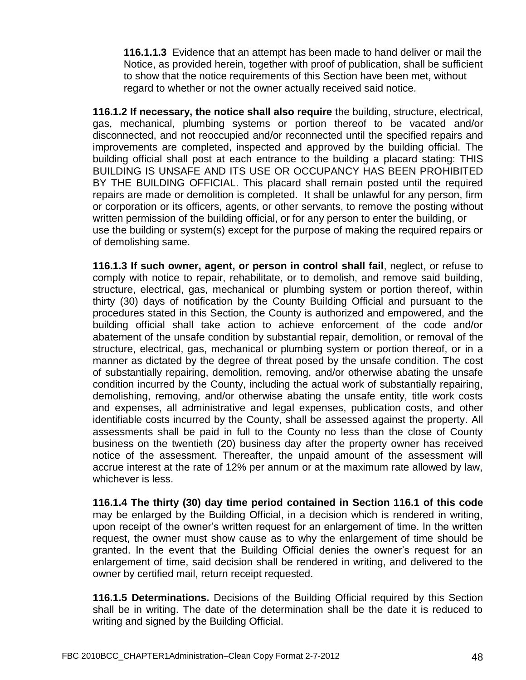**116.1.1.3** Evidence that an attempt has been made to hand deliver or mail the Notice, as provided herein, together with proof of publication, shall be sufficient to show that the notice requirements of this Section have been met, without regard to whether or not the owner actually received said notice.

**116.1.2 If necessary, the notice shall also require** the building, structure, electrical, gas, mechanical, plumbing systems or portion thereof to be vacated and/or disconnected, and not reoccupied and/or reconnected until the specified repairs and improvements are completed, inspected and approved by the building official. The building official shall post at each entrance to the building a placard stating: THIS BUILDING IS UNSAFE AND ITS USE OR OCCUPANCY HAS BEEN PROHIBITED BY THE BUILDING OFFICIAL. This placard shall remain posted until the required repairs are made or demolition is completed. It shall be unlawful for any person, firm or corporation or its officers, agents, or other servants, to remove the posting without written permission of the building official, or for any person to enter the building, or use the building or system(s) except for the purpose of making the required repairs or of demolishing same.

**116.1.3 If such owner, agent, or person in control shall fail**, neglect, or refuse to comply with notice to repair, rehabilitate, or to demolish, and remove said building, structure, electrical, gas, mechanical or plumbing system or portion thereof, within thirty (30) days of notification by the County Building Official and pursuant to the procedures stated in this Section, the County is authorized and empowered, and the building official shall take action to achieve enforcement of the code and/or abatement of the unsafe condition by substantial repair, demolition, or removal of the structure, electrical, gas, mechanical or plumbing system or portion thereof, or in a manner as dictated by the degree of threat posed by the unsafe condition. The cost of substantially repairing, demolition, removing, and/or otherwise abating the unsafe condition incurred by the County, including the actual work of substantially repairing, demolishing, removing, and/or otherwise abating the unsafe entity, title work costs and expenses, all administrative and legal expenses, publication costs, and other identifiable costs incurred by the County, shall be assessed against the property. All assessments shall be paid in full to the County no less than the close of County business on the twentieth (20) business day after the property owner has received notice of the assessment. Thereafter, the unpaid amount of the assessment will accrue interest at the rate of 12% per annum or at the maximum rate allowed by law, whichever is less.

**116.1.4 The thirty (30) day time period contained in Section 116.1 of this code**  may be enlarged by the Building Official, in a decision which is rendered in writing, upon receipt of the owner's written request for an enlargement of time. In the written request, the owner must show cause as to why the enlargement of time should be granted. In the event that the Building Official denies the owner's request for an enlargement of time, said decision shall be rendered in writing, and delivered to the owner by certified mail, return receipt requested.

**116.1.5 Determinations.** Decisions of the Building Official required by this Section shall be in writing. The date of the determination shall be the date it is reduced to writing and signed by the Building Official.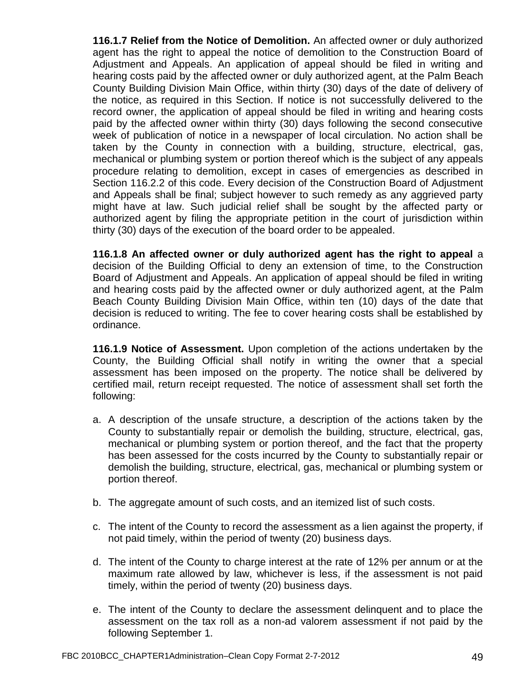**116.1.7 Relief from the Notice of Demolition.** An affected owner or duly authorized agent has the right to appeal the notice of demolition to the Construction Board of Adjustment and Appeals. An application of appeal should be filed in writing and hearing costs paid by the affected owner or duly authorized agent, at the Palm Beach County Building Division Main Office, within thirty (30) days of the date of delivery of the notice, as required in this Section. If notice is not successfully delivered to the record owner, the application of appeal should be filed in writing and hearing costs paid by the affected owner within thirty (30) days following the second consecutive week of publication of notice in a newspaper of local circulation. No action shall be taken by the County in connection with a building, structure, electrical, gas, mechanical or plumbing system or portion thereof which is the subject of any appeals procedure relating to demolition, except in cases of emergencies as described in Section 116.2.2 of this code. Every decision of the Construction Board of Adjustment and Appeals shall be final; subject however to such remedy as any aggrieved party might have at law. Such judicial relief shall be sought by the affected party or authorized agent by filing the appropriate petition in the court of jurisdiction within thirty (30) days of the execution of the board order to be appealed.

**116.1.8 An affected owner or duly authorized agent has the right to appeal** a decision of the Building Official to deny an extension of time, to the Construction Board of Adjustment and Appeals. An application of appeal should be filed in writing and hearing costs paid by the affected owner or duly authorized agent, at the Palm Beach County Building Division Main Office, within ten (10) days of the date that decision is reduced to writing. The fee to cover hearing costs shall be established by ordinance.

**116.1.9 Notice of Assessment.** Upon completion of the actions undertaken by the County, the Building Official shall notify in writing the owner that a special assessment has been imposed on the property. The notice shall be delivered by certified mail, return receipt requested. The notice of assessment shall set forth the following:

- a. A description of the unsafe structure, a description of the actions taken by the County to substantially repair or demolish the building, structure, electrical, gas, mechanical or plumbing system or portion thereof, and the fact that the property has been assessed for the costs incurred by the County to substantially repair or demolish the building, structure, electrical, gas, mechanical or plumbing system or portion thereof.
- b. The aggregate amount of such costs, and an itemized list of such costs.
- c. The intent of the County to record the assessment as a lien against the property, if not paid timely, within the period of twenty (20) business days.
- d. The intent of the County to charge interest at the rate of 12% per annum or at the maximum rate allowed by law, whichever is less, if the assessment is not paid timely, within the period of twenty (20) business days.
- e. The intent of the County to declare the assessment delinquent and to place the assessment on the tax roll as a non-ad valorem assessment if not paid by the following September 1.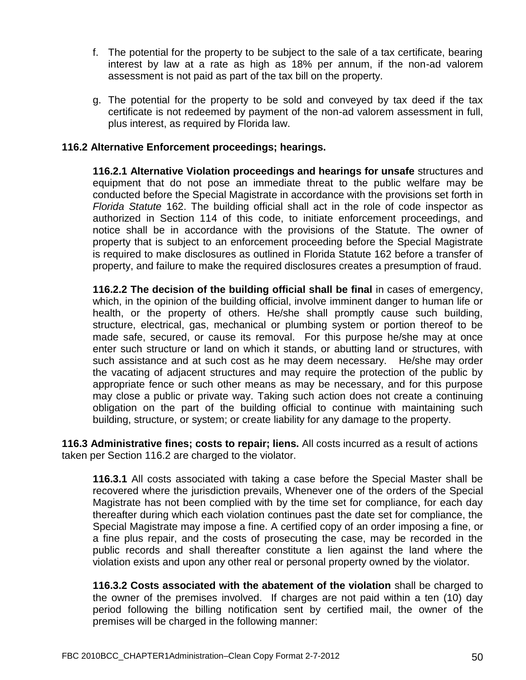- f. The potential for the property to be subject to the sale of a tax certificate, bearing interest by law at a rate as high as 18% per annum, if the non-ad valorem assessment is not paid as part of the tax bill on the property.
- g. The potential for the property to be sold and conveyed by tax deed if the tax certificate is not redeemed by payment of the non-ad valorem assessment in full, plus interest, as required by Florida law.

### **116.2 Alternative Enforcement proceedings; hearings.**

**116.2.1 Alternative Violation proceedings and hearings for unsafe** structures and equipment that do not pose an immediate threat to the public welfare may be conducted before the Special Magistrate in accordance with the provisions set forth in *Florida Statute* 162. The building official shall act in the role of code inspector as authorized in Section 114 of this code, to initiate enforcement proceedings, and notice shall be in accordance with the provisions of the Statute. The owner of property that is subject to an enforcement proceeding before the Special Magistrate is required to make disclosures as outlined in Florida Statute 162 before a transfer of property, and failure to make the required disclosures creates a presumption of fraud.

**116.2.2 The decision of the building official shall be final** in cases of emergency, which, in the opinion of the building official, involve imminent danger to human life or health, or the property of others. He/she shall promptly cause such building, structure, electrical, gas, mechanical or plumbing system or portion thereof to be made safe, secured, or cause its removal. For this purpose he/she may at once enter such structure or land on which it stands, or abutting land or structures, with such assistance and at such cost as he may deem necessary. He/she may order the vacating of adjacent structures and may require the protection of the public by appropriate fence or such other means as may be necessary, and for this purpose may close a public or private way. Taking such action does not create a continuing obligation on the part of the building official to continue with maintaining such building, structure, or system; or create liability for any damage to the property.

**116.3 Administrative fines; costs to repair; liens.** All costs incurred as a result of actions taken per Section 116.2 are charged to the violator.

**116.3.1** All costs associated with taking a case before the Special Master shall be recovered where the jurisdiction prevails, Whenever one of the orders of the Special Magistrate has not been complied with by the time set for compliance, for each day thereafter during which each violation continues past the date set for compliance, the Special Magistrate may impose a fine. A certified copy of an order imposing a fine, or a fine plus repair, and the costs of prosecuting the case, may be recorded in the public records and shall thereafter constitute a lien against the land where the violation exists and upon any other real or personal property owned by the violator.

**116.3.2 Costs associated with the abatement of the violation** shall be charged to the owner of the premises involved. If charges are not paid within a ten (10) day period following the billing notification sent by certified mail, the owner of the premises will be charged in the following manner: